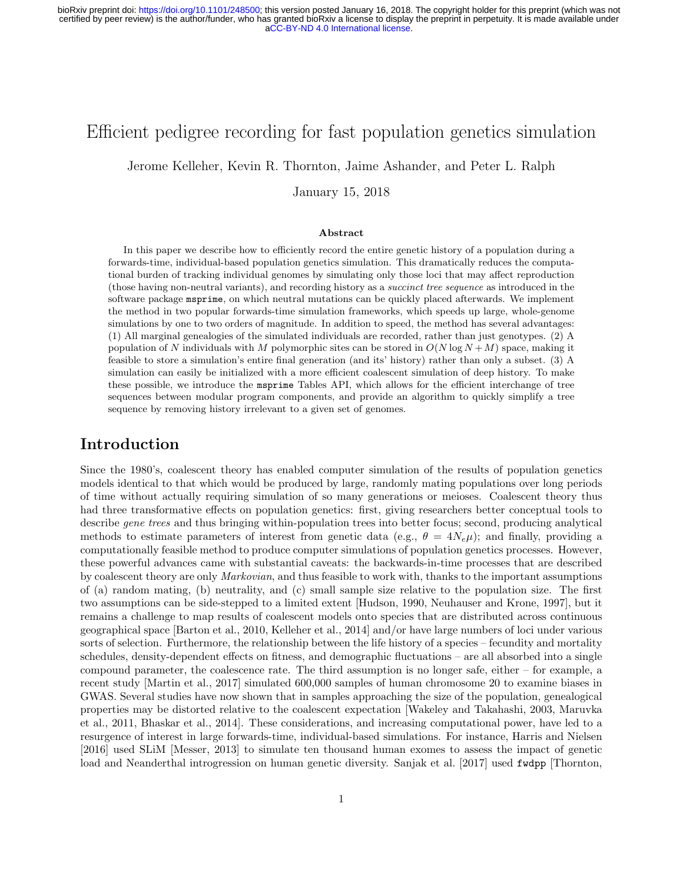# Efficient pedigree recording for fast population genetics simulation

Jerome Kelleher, Kevin R. Thornton, Jaime Ashander, and Peter L. Ralph

January 15, 2018

#### Abstract

In this paper we describe how to efficiently record the entire genetic history of a population during a forwards-time, individual-based population genetics simulation. This dramatically reduces the computational burden of tracking individual genomes by simulating only those loci that may affect reproduction (those having non-neutral variants), and recording history as a succinct tree sequence as introduced in the software package msprime, on which neutral mutations can be quickly placed afterwards. We implement the method in two popular forwards-time simulation frameworks, which speeds up large, whole-genome simulations by one to two orders of magnitude. In addition to speed, the method has several advantages: (1) All marginal genealogies of the simulated individuals are recorded, rather than just genotypes. (2) A population of N individuals with M polymorphic sites can be stored in  $O(N \log N + M)$  space, making it feasible to store a simulation's entire final generation (and its' history) rather than only a subset. (3) A simulation can easily be initialized with a more efficient coalescent simulation of deep history. To make these possible, we introduce the msprime Tables API, which allows for the efficient interchange of tree sequences between modular program components, and provide an algorithm to quickly simplify a tree sequence by removing history irrelevant to a given set of genomes.

### Introduction

Since the 1980's, coalescent theory has enabled computer simulation of the results of population genetics models identical to that which would be produced by large, randomly mating populations over long periods of time without actually requiring simulation of so many generations or meioses. Coalescent theory thus had three transformative effects on population genetics: first, giving researchers better conceptual tools to describe gene trees and thus bringing within-population trees into better focus; second, producing analytical methods to estimate parameters of interest from genetic data (e.g.,  $\theta = 4N_e\mu$ ); and finally, providing a computationally feasible method to produce computer simulations of population genetics processes. However, these powerful advances came with substantial caveats: the backwards-in-time processes that are described by coalescent theory are only Markovian, and thus feasible to work with, thanks to the important assumptions of (a) random mating, (b) neutrality, and (c) small sample size relative to the population size. The first two assumptions can be side-stepped to a limited extent [\[Hudson, 1990,](#page-17-0) [Neuhauser and Krone, 1997\]](#page-18-0), but it remains a challenge to map results of coalescent models onto species that are distributed across continuous geographical space [\[Barton et al., 2010,](#page-16-0) [Kelleher et al., 2014\]](#page-17-1) and/or have large numbers of loci under various sorts of selection. Furthermore, the relationship between the life history of a species – fecundity and mortality schedules, density-dependent effects on fitness, and demographic fluctuations – are all absorbed into a single compound parameter, the coalescence rate. The third assumption is no longer safe, either – for example, a recent study [\[Martin et al., 2017\]](#page-17-2) simulated 600,000 samples of human chromosome 20 to examine biases in GWAS. Several studies have now shown that in samples approaching the size of the population, genealogical properties may be distorted relative to the coalescent expectation [\[Wakeley and Takahashi, 2003,](#page-18-1) [Maruvka](#page-17-3) [et al., 2011,](#page-17-3) [Bhaskar et al., 2014\]](#page-16-1). These considerations, and increasing computational power, have led to a resurgence of interest in large forwards-time, individual-based simulations. For instance, [Harris and Nielsen](#page-17-4) [\[2016\]](#page-17-4) used SLiM [\[Messer, 2013\]](#page-18-2) to simulate ten thousand human exomes to assess the impact of genetic load and Neanderthal introgression on human genetic diversity. [Sanjak et al.](#page-18-3) [\[2017\]](#page-18-3) used fwdpp [\[Thornton,](#page-18-4)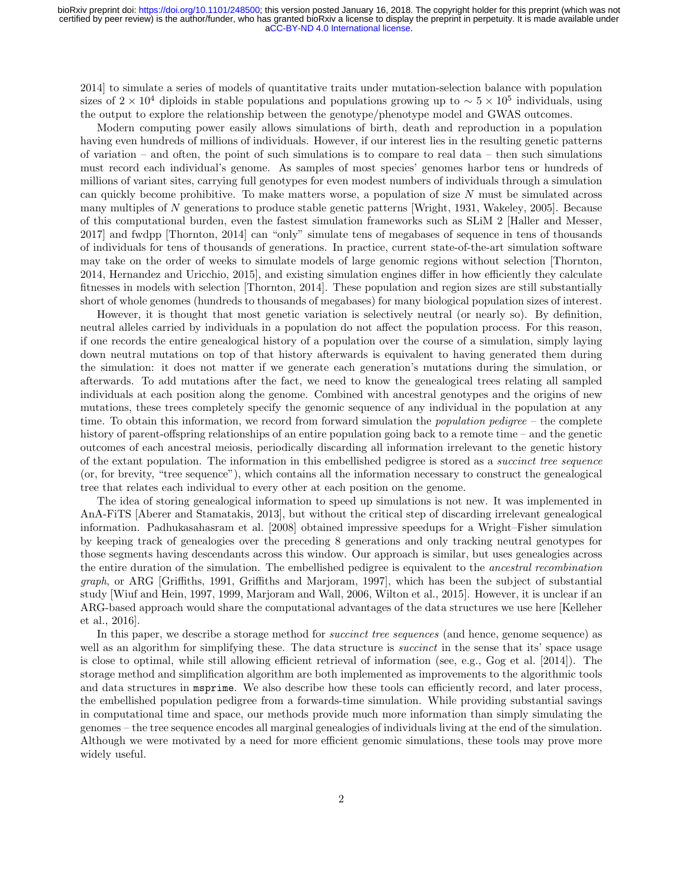[2014\]](#page-18-4) to simulate a series of models of quantitative traits under mutation-selection balance with population sizes of  $2 \times 10^4$  diploids in stable populations and populations growing up to  $\sim 5 \times 10^5$  individuals, using the output to explore the relationship between the genotype/phenotype model and GWAS outcomes.

Modern computing power easily allows simulations of birth, death and reproduction in a population having even hundreds of millions of individuals. However, if our interest lies in the resulting genetic patterns of variation – and often, the point of such simulations is to compare to real data – then such simulations must record each individual's genome. As samples of most species' genomes harbor tens or hundreds of millions of variant sites, carrying full genotypes for even modest numbers of individuals through a simulation can quickly become prohibitive. To make matters worse, a population of size  $N$  must be simulated across many multiples of N generations to produce stable genetic patterns [\[Wright, 1931,](#page-18-5) [Wakeley, 2005\]](#page-18-6). Because of this computational burden, even the fastest simulation frameworks such as SLiM 2 [\[Haller and Messer,](#page-17-5) [2017\]](#page-17-5) and fwdpp [\[Thornton, 2014\]](#page-18-4) can "only" simulate tens of megabases of sequence in tens of thousands of individuals for tens of thousands of generations. In practice, current state-of-the-art simulation software may take on the order of weeks to simulate models of large genomic regions without selection [\[Thornton,](#page-18-4) [2014,](#page-18-4) [Hernandez and Uricchio, 2015\]](#page-17-6), and existing simulation engines differ in how efficiently they calculate fitnesses in models with selection [\[Thornton, 2014\]](#page-18-4). These population and region sizes are still substantially short of whole genomes (hundreds to thousands of megabases) for many biological population sizes of interest.

However, it is thought that most genetic variation is selectively neutral (or nearly so). By definition, neutral alleles carried by individuals in a population do not affect the population process. For this reason, if one records the entire genealogical history of a population over the course of a simulation, simply laying down neutral mutations on top of that history afterwards is equivalent to having generated them during the simulation: it does not matter if we generate each generation's mutations during the simulation, or afterwards. To add mutations after the fact, we need to know the genealogical trees relating all sampled individuals at each position along the genome. Combined with ancestral genotypes and the origins of new mutations, these trees completely specify the genomic sequence of any individual in the population at any time. To obtain this information, we record from forward simulation the *population pedigree* – the complete history of parent-offspring relationships of an entire population going back to a remote time – and the genetic outcomes of each ancestral meiosis, periodically discarding all information irrelevant to the genetic history of the extant population. The information in this embellished pedigree is stored as a succinct tree sequence (or, for brevity, "tree sequence"), which contains all the information necessary to construct the genealogical tree that relates each individual to every other at each position on the genome.

The idea of storing genealogical information to speed up simulations is not new. It was implemented in AnA-FiTS [\[Aberer and Stamatakis, 2013\]](#page-16-2), but without the critical step of discarding irrelevant genealogical information. [Padhukasahasram et al.](#page-18-7) [\[2008\]](#page-18-7) obtained impressive speedups for a Wright–Fisher simulation by keeping track of genealogies over the preceding 8 generations and only tracking neutral genotypes for those segments having descendants across this window. Our approach is similar, but uses genealogies across the entire duration of the simulation. The embellished pedigree is equivalent to the ancestral recombination graph, or ARG [\[Griffiths, 1991,](#page-17-7) [Griffiths and Marjoram, 1997\]](#page-17-8), which has been the subject of substantial study [\[Wiuf and Hein, 1997,](#page-18-8) [1999,](#page-18-9) [Marjoram and Wall, 2006,](#page-17-9) [Wilton et al., 2015\]](#page-18-10). However, it is unclear if an ARG-based approach would share the computational advantages of the data structures we use here [\[Kelleher](#page-17-10) [et al., 2016\]](#page-17-10).

In this paper, we describe a storage method for *succinct tree sequences* (and hence, genome sequence) as well as an algorithm for simplifying these. The data structure is *succinct* in the sense that its' space usage is close to optimal, while still allowing efficient retrieval of information (see, e.g., [Gog et al.](#page-17-11) [\[2014\]](#page-17-11)). The storage method and simplification algorithm are both implemented as improvements to the algorithmic tools and data structures in msprime. We also describe how these tools can efficiently record, and later process, the embellished population pedigree from a forwards-time simulation. While providing substantial savings in computational time and space, our methods provide much more information than simply simulating the genomes – the tree sequence encodes all marginal genealogies of individuals living at the end of the simulation. Although we were motivated by a need for more efficient genomic simulations, these tools may prove more widely useful.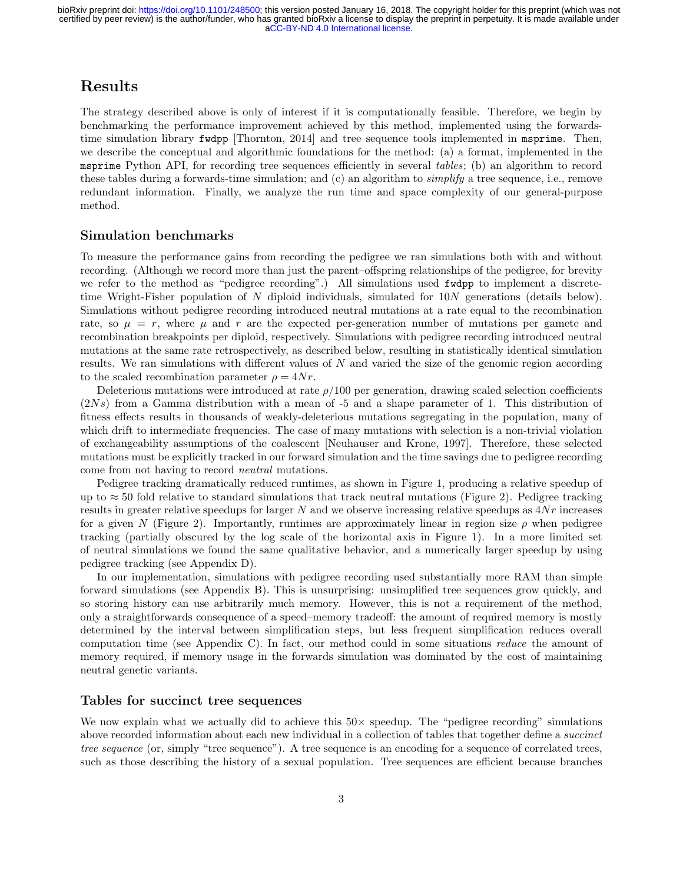## Results

The strategy described above is only of interest if it is computationally feasible. Therefore, we begin by benchmarking the performance improvement achieved by this method, implemented using the forwardstime simulation library fwdpp [\[Thornton, 2014\]](#page-18-4) and tree sequence tools implemented in msprime. Then, we describe the conceptual and algorithmic foundations for the method: (a) a format, implemented in the msprime Python API, for recording tree sequences efficiently in several tables; (b) an algorithm to record these tables during a forwards-time simulation; and (c) an algorithm to simplify a tree sequence, i.e., remove redundant information. Finally, we analyze the run time and space complexity of our general-purpose method.

#### Simulation benchmarks

To measure the performance gains from recording the pedigree we ran simulations both with and without recording. (Although we record more than just the parent–offspring relationships of the pedigree, for brevity we refer to the method as "pedigree recording".) All simulations used fwdpp to implement a discretetime Wright-Fisher population of N diploid individuals, simulated for 10N generations (details below). Simulations without pedigree recording introduced neutral mutations at a rate equal to the recombination rate, so  $\mu = r$ , where  $\mu$  and r are the expected per-generation number of mutations per gamete and recombination breakpoints per diploid, respectively. Simulations with pedigree recording introduced neutral mutations at the same rate retrospectively, as described below, resulting in statistically identical simulation results. We ran simulations with different values of N and varied the size of the genomic region according to the scaled recombination parameter  $\rho = 4Nr$ .

Deleterious mutations were introduced at rate  $\rho/100$  per generation, drawing scaled selection coefficients  $(2Ns)$  from a Gamma distribution with a mean of -5 and a shape parameter of 1. This distribution of fitness effects results in thousands of weakly-deleterious mutations segregating in the population, many of which drift to intermediate frequencies. The case of many mutations with selection is a non-trivial violation of exchangeability assumptions of the coalescent [\[Neuhauser and Krone, 1997\]](#page-18-0). Therefore, these selected mutations must be explicitly tracked in our forward simulation and the time savings due to pedigree recording come from not having to record neutral mutations.

Pedigree tracking dramatically reduced runtimes, as shown in Figure [1,](#page-3-0) producing a relative speedup of up to  $\approx$  50 fold relative to standard simulations that track neutral mutations (Figure [2\)](#page-4-0). Pedigree tracking results in greater relative speedups for larger N and we observe increasing relative speedups as 4Nr increases for a given N (Figure [2\)](#page-4-0). Importantly, runtimes are approximately linear in region size  $\rho$  when pedigree tracking (partially obscured by the log scale of the horizontal axis in Figure [1\)](#page-3-0). In a more limited set of neutral simulations we found the same qualitative behavior, and a numerically larger speedup by using pedigree tracking (see Appendix [D\)](#page-22-0).

In our implementation, simulations with pedigree recording used substantially more RAM than simple forward simulations (see Appendix [B\)](#page-20-0). This is unsurprising: unsimplified tree sequences grow quickly, and so storing history can use arbitrarily much memory. However, this is not a requirement of the method, only a straightforwards consequence of a speed–memory tradeoff: the amount of required memory is mostly determined by the interval between simplification steps, but less frequent simplification reduces overall computation time (see Appendix [C\)](#page-22-1). In fact, our method could in some situations reduce the amount of memory required, if memory usage in the forwards simulation was dominated by the cost of maintaining neutral genetic variants.

#### Tables for succinct tree sequences

We now explain what we actually did to achieve this  $50\times$  speedup. The "pedigree recording" simulations above recorded information about each new individual in a collection of tables that together define a succinct tree sequence (or, simply "tree sequence"). A tree sequence is an encoding for a sequence of correlated trees, such as those describing the history of a sexual population. Tree sequences are efficient because branches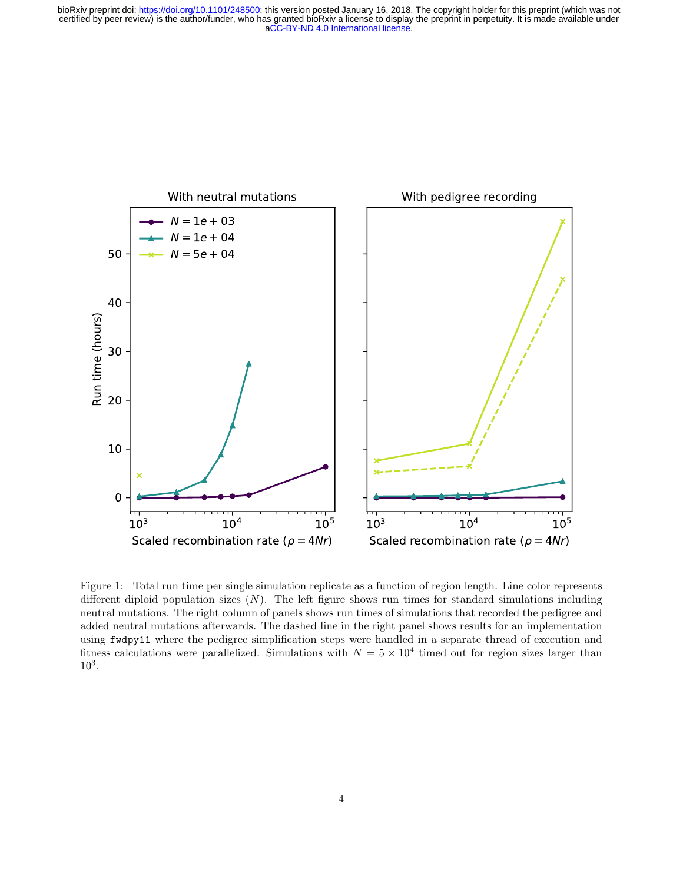

<span id="page-3-0"></span>Figure 1: Total run time per single simulation replicate as a function of region length. Line color represents different diploid population sizes  $(N)$ . The left figure shows run times for standard simulations including neutral mutations. The right column of panels shows run times of simulations that recorded the pedigree and added neutral mutations afterwards. The dashed line in the right panel shows results for an implementation using fwdpy11 where the pedigree simplification steps were handled in a separate thread of execution and fitness calculations were parallelized. Simulations with  $N = 5 \times 10^4$  timed out for region sizes larger than 10<sup>3</sup> .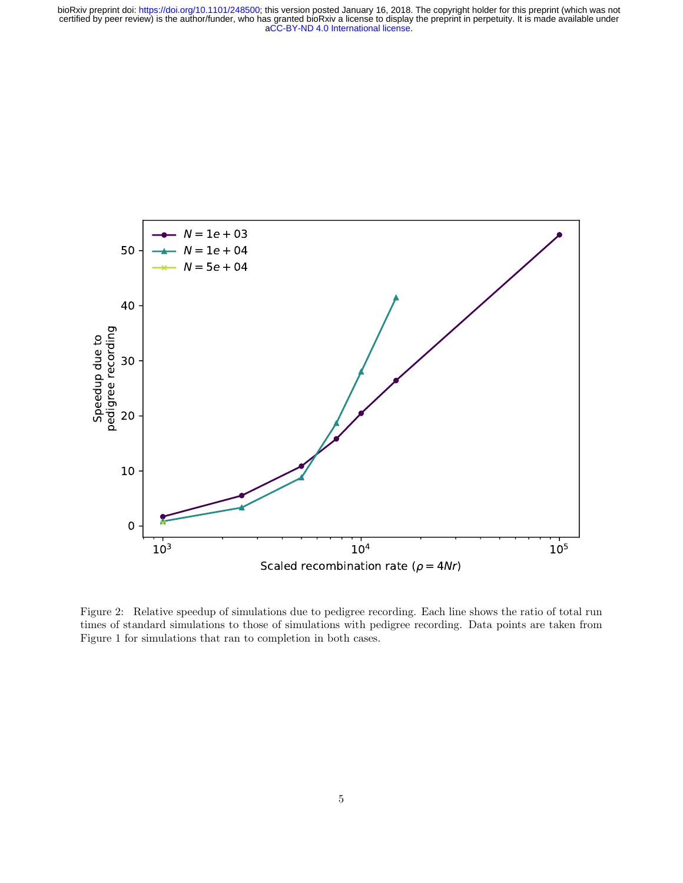

<span id="page-4-0"></span>Figure 2: Relative speedup of simulations due to pedigree recording. Each line shows the ratio of total run times of standard simulations to those of simulations with pedigree recording. Data points are taken from Figure [1](#page-3-0) for simulations that ran to completion in both cases.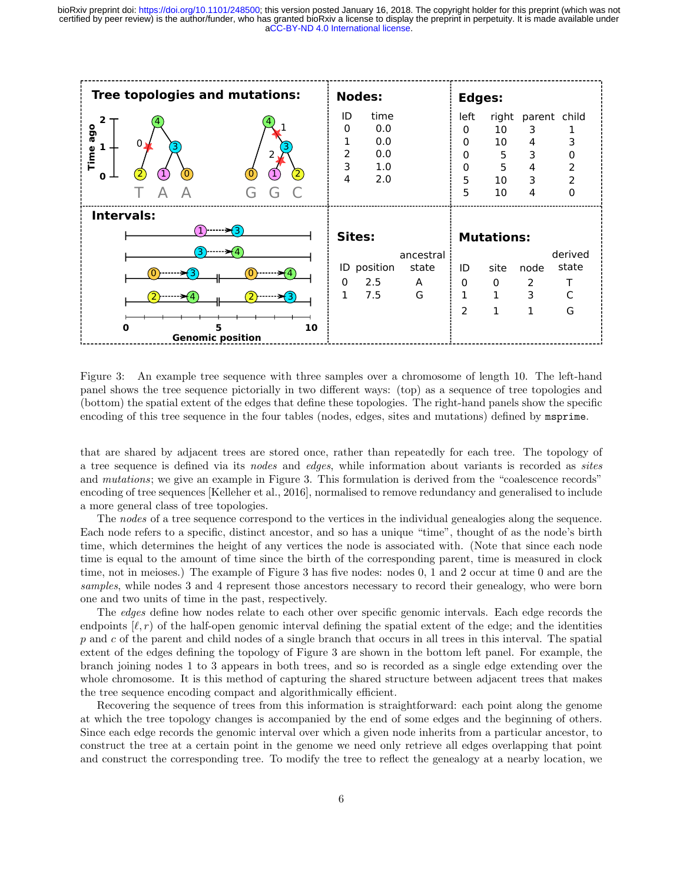

<span id="page-5-0"></span>Figure 3: An example tree sequence with three samples over a chromosome of length 10. The left-hand panel shows the tree sequence pictorially in two different ways: (top) as a sequence of tree topologies and (bottom) the spatial extent of the edges that define these topologies. The right-hand panels show the specific encoding of this tree sequence in the four tables (nodes, edges, sites and mutations) defined by msprime.

that are shared by adjacent trees are stored once, rather than repeatedly for each tree. The topology of a tree sequence is defined via its nodes and edges, while information about variants is recorded as sites and *mutations*; we give an example in Figure [3.](#page-5-0) This formulation is derived from the "coalescence records" encoding of tree sequences [\[Kelleher et al., 2016\]](#page-17-10), normalised to remove redundancy and generalised to include a more general class of tree topologies.

The nodes of a tree sequence correspond to the vertices in the individual genealogies along the sequence. Each node refers to a specific, distinct ancestor, and so has a unique "time", thought of as the node's birth time, which determines the height of any vertices the node is associated with. (Note that since each node time is equal to the amount of time since the birth of the corresponding parent, time is measured in clock time, not in meioses.) The example of Figure [3](#page-5-0) has five nodes: nodes 0, 1 and 2 occur at time 0 and are the samples, while nodes 3 and 4 represent those ancestors necessary to record their genealogy, who were born one and two units of time in the past, respectively.

The *edges* define how nodes relate to each other over specific genomic intervals. Each edge records the endpoints  $[\ell, r)$  of the half-open genomic interval defining the spatial extent of the edge; and the identities p and c of the parent and child nodes of a single branch that occurs in all trees in this interval. The spatial extent of the edges defining the topology of Figure [3](#page-5-0) are shown in the bottom left panel. For example, the branch joining nodes 1 to 3 appears in both trees, and so is recorded as a single edge extending over the whole chromosome. It is this method of capturing the shared structure between adjacent trees that makes the tree sequence encoding compact and algorithmically efficient.

Recovering the sequence of trees from this information is straightforward: each point along the genome at which the tree topology changes is accompanied by the end of some edges and the beginning of others. Since each edge records the genomic interval over which a given node inherits from a particular ancestor, to construct the tree at a certain point in the genome we need only retrieve all edges overlapping that point and construct the corresponding tree. To modify the tree to reflect the genealogy at a nearby location, we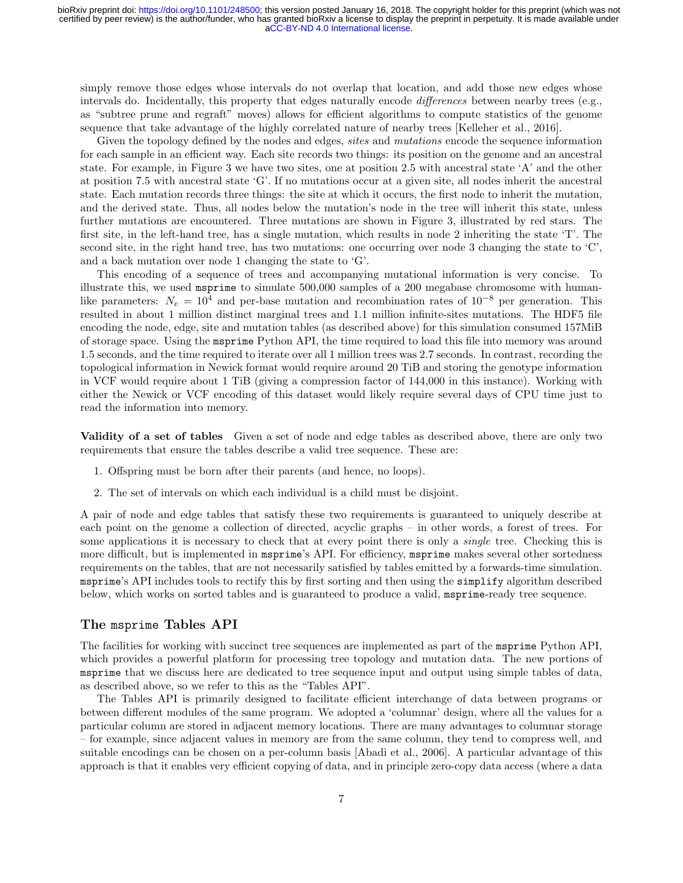simply remove those edges whose intervals do not overlap that location, and add those new edges whose intervals do. Incidentally, this property that edges naturally encode differences between nearby trees (e.g., as "subtree prune and regraft" moves) allows for efficient algorithms to compute statistics of the genome sequence that take advantage of the highly correlated nature of nearby trees [\[Kelleher et al., 2016\]](#page-17-10).

Given the topology defined by the nodes and edges, *sites* and *mutations* encode the sequence information for each sample in an efficient way. Each site records two things: its position on the genome and an ancestral state. For example, in Figure [3](#page-5-0) we have two sites, one at position 2.5 with ancestral state 'A' and the other at position 7.5 with ancestral state 'G'. If no mutations occur at a given site, all nodes inherit the ancestral state. Each mutation records three things: the site at which it occurs, the first node to inherit the mutation, and the derived state. Thus, all nodes below the mutation's node in the tree will inherit this state, unless further mutations are encountered. Three mutations are shown in Figure [3,](#page-5-0) illustrated by red stars. The first site, in the left-hand tree, has a single mutation, which results in node 2 inheriting the state 'T'. The second site, in the right hand tree, has two mutations: one occurring over node 3 changing the state to 'C', and a back mutation over node 1 changing the state to 'G'.

This encoding of a sequence of trees and accompanying mutational information is very concise. To illustrate this, we used msprime to simulate 500,000 samples of a 200 megabase chromosome with humanlike parameters:  $N_e = 10^4$  and per-base mutation and recombination rates of  $10^{-8}$  per generation. This resulted in about 1 million distinct marginal trees and 1.1 million infinite-sites mutations. The HDF5 file encoding the node, edge, site and mutation tables (as described above) for this simulation consumed 157MiB of storage space. Using the msprime Python API, the time required to load this file into memory was around 1.5 seconds, and the time required to iterate over all 1 million trees was 2.7 seconds. In contrast, recording the topological information in Newick format would require around 20 TiB and storing the genotype information in VCF would require about 1 TiB (giving a compression factor of 144,000 in this instance). Working with either the Newick or VCF encoding of this dataset would likely require several days of CPU time just to read the information into memory.

Validity of a set of tables Given a set of node and edge tables as described above, there are only two requirements that ensure the tables describe a valid tree sequence. These are:

- 1. Offspring must be born after their parents (and hence, no loops).
- 2. The set of intervals on which each individual is a child must be disjoint.

A pair of node and edge tables that satisfy these two requirements is guaranteed to uniquely describe at each point on the genome a collection of directed, acyclic graphs – in other words, a forest of trees. For some applications it is necessary to check that at every point there is only a *single* tree. Checking this is more difficult, but is implemented in msprime's API. For efficiency, msprime makes several other sortedness requirements on the tables, that are not necessarily satisfied by tables emitted by a forwards-time simulation. msprime's API includes tools to rectify this by first sorting and then using the simplify algorithm described below, which works on sorted tables and is guaranteed to produce a valid, msprime-ready tree sequence.

#### The msprime Tables API

The facilities for working with succinct tree sequences are implemented as part of the msprime Python API, which provides a powerful platform for processing tree topology and mutation data. The new portions of msprime that we discuss here are dedicated to tree sequence input and output using simple tables of data, as described above, so we refer to this as the "Tables API".

The Tables API is primarily designed to facilitate efficient interchange of data between programs or between different modules of the same program. We adopted a 'columnar' design, where all the values for a particular column are stored in adjacent memory locations. There are many advantages to columnar storage – for example, since adjacent values in memory are from the same column, they tend to compress well, and suitable encodings can be chosen on a per-column basis [\[Abadi et al., 2006\]](#page-16-3). A particular advantage of this approach is that it enables very efficient copying of data, and in principle zero-copy data access (where a data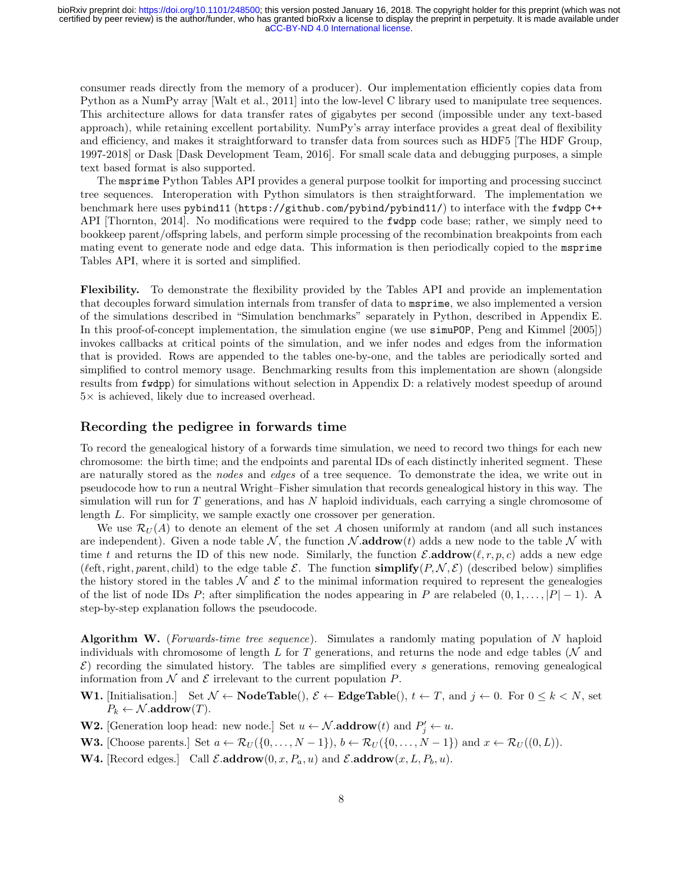consumer reads directly from the memory of a producer). Our implementation efficiently copies data from Python as a NumPy array [\[Walt et al., 2011\]](#page-18-11) into the low-level C library used to manipulate tree sequences. This architecture allows for data transfer rates of gigabytes per second (impossible under any text-based approach), while retaining excellent portability. NumPy's array interface provides a great deal of flexibility and efficiency, and makes it straightforward to transfer data from sources such as HDF5 [\[The HDF Group,](#page-18-12) [1997-2018\]](#page-18-12) or Dask [\[Dask Development Team, 2016\]](#page-16-4). For small scale data and debugging purposes, a simple text based format is also supported.

The msprime Python Tables API provides a general purpose toolkit for importing and processing succinct tree sequences. Interoperation with Python simulators is then straightforward. The implementation we benchmark here uses pybind11 (<https://github.com/pybind/pybind11/>) to interface with the fwdpp C++ API [\[Thornton, 2014\]](#page-18-4). No modifications were required to the fwdpp code base; rather, we simply need to bookkeep parent/offspring labels, and perform simple processing of the recombination breakpoints from each mating event to generate node and edge data. This information is then periodically copied to the msprime Tables API, where it is sorted and simplified.

Flexibility. To demonstrate the flexibility provided by the Tables API and provide an implementation that decouples forward simulation internals from transfer of data to msprime, we also implemented a version of the simulations described in "Simulation benchmarks" separately in Python, described in Appendix [E.](#page-23-0) In this proof-of-concept implementation, the simulation engine (we use simuPOP, [Peng and Kimmel](#page-18-13) [\[2005\]](#page-18-13)) invokes callbacks at critical points of the simulation, and we infer nodes and edges from the information that is provided. Rows are appended to the tables one-by-one, and the tables are periodically sorted and simplified to control memory usage. Benchmarking results from this implementation are shown (alongside results from fwdpp) for simulations without selection in Appendix [D:](#page-22-0) a relatively modest speedup of around  $5\times$  is achieved, likely due to increased overhead.

#### Recording the pedigree in forwards time

To record the genealogical history of a forwards time simulation, we need to record two things for each new chromosome: the birth time; and the endpoints and parental IDs of each distinctly inherited segment. These are naturally stored as the nodes and edges of a tree sequence. To demonstrate the idea, we write out in pseudocode how to run a neutral Wright–Fisher simulation that records genealogical history in this way. The simulation will run for  $T$  generations, and has  $N$  haploid individuals, each carrying a single chromosome of length L. For simplicity, we sample exactly one crossover per generation.

We use  $\mathcal{R}_U(A)$  to denote an element of the set A chosen uniformly at random (and all such instances are independent). Given a node table  $\mathcal{N}$ , the function  $\mathcal{N}$  addrow(t) adds a new node to the table  $\mathcal{N}$  with time t and returns the ID of this new node. Similarly, the function  $\mathcal{E}.\text{addrow}(\ell, r, p, c)$  adds a new edge ( $\ell$ eft, right, parent, child) to the edge table E. The function simplify( $P, \mathcal{N}, \mathcal{E}$ ) (described below) simplifies the history stored in the tables  $\mathcal N$  and  $\mathcal E$  to the minimal information required to represent the genealogies of the list of node IDs P; after simplification the nodes appearing in P are relabeled  $(0, 1, \ldots, |P| - 1)$ . A step-by-step explanation follows the pseudocode.

Algorithm W. (Forwards-time tree sequence). Simulates a randomly mating population of N haploid individuals with chromosome of length L for T generations, and returns the node and edge tables ( $N$  and  $\mathcal{E}$ ) recording the simulated history. The tables are simplified every s generations, removing genealogical information from  $\mathcal N$  and  $\mathcal E$  irrelevant to the current population  $P$ .

- **W1.** [Initialisation.] Set  $\mathcal{N} \leftarrow \textbf{NodeTable}(), \mathcal{E} \leftarrow \textbf{EdgeTable}(), t \leftarrow T$ , and  $j \leftarrow 0$ . For  $0 \leq k \leq N$ , set  $P_k \leftarrow \mathcal{N}$ .addrow $(T)$ .
- **W2.** [Generation loop head: new node.] Set  $u \leftarrow \mathcal{N}$  addrow $(t)$  and  $P'_j \leftarrow u$ .
- **W3.** [Choose parents.] Set  $a \leftarrow \mathcal{R}_U(\{0,\ldots,N-1\}), b \leftarrow \mathcal{R}_U(\{0,\ldots,N-1\})$  and  $x \leftarrow \mathcal{R}_U((0,L)).$
- **W4.** [Record edges.] Call  $\mathcal{E}.\text{addrow}(0, x, P_a, u)$  and  $\mathcal{E}.\text{addrow}(x, L, P_b, u)$ .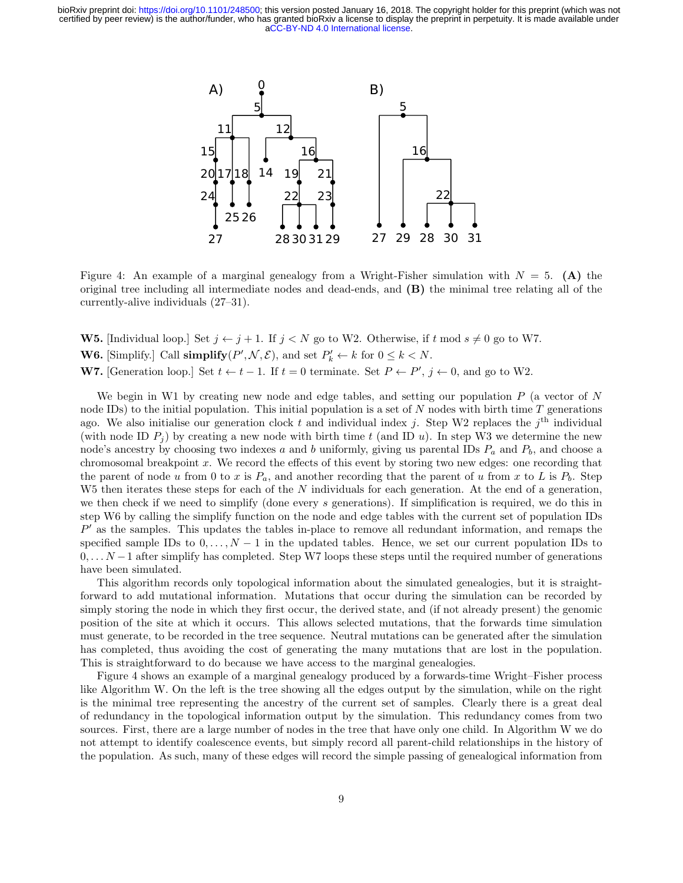

<span id="page-8-0"></span>Figure 4: An example of a marginal genealogy from a Wright-Fisher simulation with  $N = 5$ . (A) the original tree including all intermediate nodes and dead-ends, and (B) the minimal tree relating all of the currently-alive individuals (27–31).

**W5.** [Individual loop.] Set  $j \leftarrow j + 1$ . If  $j \leftarrow N$  go to W2. Otherwise, if t mod  $s \neq 0$  go to W7. **W6.** [Simplify.] Call  $\text{simplify}(P', \mathcal{N}, \mathcal{E})$ , and set  $P'_k \leftarrow k$  for  $0 \leq k < N$ . **W7.** [Generation loop.] Set  $t \leftarrow t-1$ . If  $t=0$  terminate. Set  $P \leftarrow P', j \leftarrow 0$ , and go to W2.

We begin in W1 by creating new node and edge tables, and setting our population  $P$  (a vector of  $N$ node IDs) to the initial population. This initial population is a set of  $N$  nodes with birth time  $T$  generations ago. We also initialise our generation clock t and individual index j. Step W2 replaces the  $j<sup>th</sup>$  individual (with node ID  $P_i$ ) by creating a new node with birth time t (and ID u). In step W3 we determine the new node's ancestry by choosing two indexes a and b uniformly, giving us parental IDs  $P_a$  and  $P_b$ , and choose a chromosomal breakpoint x. We record the effects of this event by storing two new edges: one recording that the parent of node u from 0 to x is  $P_a$ , and another recording that the parent of u from x to L is  $P_b$ . Step  $W5$  then iterates these steps for each of the N individuals for each generation. At the end of a generation, we then check if we need to simplify (done every s generations). If simplification is required, we do this in step W6 by calling the simplify function on the node and edge tables with the current set of population IDs  $P'$  as the samples. This updates the tables in-place to remove all redundant information, and remaps the specified sample IDs to  $0, \ldots, N-1$  in the updated tables. Hence, we set our current population IDs to  $0, \ldots N-1$  after simplify has completed. Step W7 loops these steps until the required number of generations have been simulated.

This algorithm records only topological information about the simulated genealogies, but it is straightforward to add mutational information. Mutations that occur during the simulation can be recorded by simply storing the node in which they first occur, the derived state, and (if not already present) the genomic position of the site at which it occurs. This allows selected mutations, that the forwards time simulation must generate, to be recorded in the tree sequence. Neutral mutations can be generated after the simulation has completed, thus avoiding the cost of generating the many mutations that are lost in the population. This is straightforward to do because we have access to the marginal genealogies.

Figure [4](#page-8-0) shows an example of a marginal genealogy produced by a forwards-time Wright–Fisher process like Algorithm W. On the left is the tree showing all the edges output by the simulation, while on the right is the minimal tree representing the ancestry of the current set of samples. Clearly there is a great deal of redundancy in the topological information output by the simulation. This redundancy comes from two sources. First, there are a large number of nodes in the tree that have only one child. In Algorithm W we do not attempt to identify coalescence events, but simply record all parent-child relationships in the history of the population. As such, many of these edges will record the simple passing of genealogical information from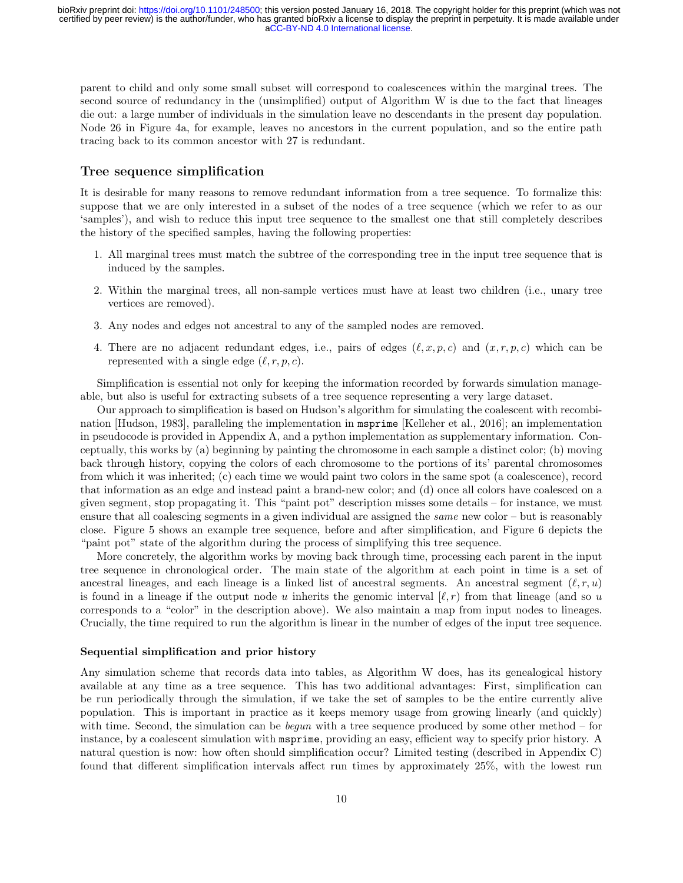parent to child and only some small subset will correspond to coalescences within the marginal trees. The second source of redundancy in the (unsimplified) output of Algorithm W is due to the fact that lineages die out: a large number of individuals in the simulation leave no descendants in the present day population. Node 26 in Figure [4a](#page-8-0), for example, leaves no ancestors in the current population, and so the entire path tracing back to its common ancestor with 27 is redundant.

#### Tree sequence simplification

It is desirable for many reasons to remove redundant information from a tree sequence. To formalize this: suppose that we are only interested in a subset of the nodes of a tree sequence (which we refer to as our 'samples'), and wish to reduce this input tree sequence to the smallest one that still completely describes the history of the specified samples, having the following properties:

- 1. All marginal trees must match the subtree of the corresponding tree in the input tree sequence that is induced by the samples.
- 2. Within the marginal trees, all non-sample vertices must have at least two children (i.e., unary tree vertices are removed).
- 3. Any nodes and edges not ancestral to any of the sampled nodes are removed.
- 4. There are no adjacent redundant edges, i.e., pairs of edges  $(\ell, x, p, c)$  and  $(x, r, p, c)$  which can be represented with a single edge  $(\ell, r, p, c)$ .

Simplification is essential not only for keeping the information recorded by forwards simulation manageable, but also is useful for extracting subsets of a tree sequence representing a very large dataset.

Our approach to simplification is based on Hudson's algorithm for simulating the coalescent with recombination [\[Hudson, 1983\]](#page-17-12), paralleling the implementation in msprime [\[Kelleher et al., 2016\]](#page-17-10); an implementation in pseudocode is provided in Appendix [A,](#page-19-0) and a python implementation as supplementary information. Conceptually, this works by (a) beginning by painting the chromosome in each sample a distinct color; (b) moving back through history, copying the colors of each chromosome to the portions of its' parental chromosomes from which it was inherited; (c) each time we would paint two colors in the same spot (a coalescence), record that information as an edge and instead paint a brand-new color; and (d) once all colors have coalesced on a given segment, stop propagating it. This "paint pot" description misses some details – for instance, we must ensure that all coalescing segments in a given individual are assigned the *same* new color – but is reasonably close. Figure [5](#page-10-0) shows an example tree sequence, before and after simplification, and Figure [6](#page-11-0) depicts the "paint pot" state of the algorithm during the process of simplifying this tree sequence.

More concretely, the algorithm works by moving back through time, processing each parent in the input tree sequence in chronological order. The main state of the algorithm at each point in time is a set of ancestral lineages, and each lineage is a linked list of ancestral segments. An ancestral segment  $(\ell, r, u)$ is found in a lineage if the output node u inherits the genomic interval  $(\ell, r)$  from that lineage (and so u corresponds to a "color" in the description above). We also maintain a map from input nodes to lineages. Crucially, the time required to run the algorithm is linear in the number of edges of the input tree sequence.

#### Sequential simplification and prior history

Any simulation scheme that records data into tables, as Algorithm W does, has its genealogical history available at any time as a tree sequence. This has two additional advantages: First, simplification can be run periodically through the simulation, if we take the set of samples to be the entire currently alive population. This is important in practice as it keeps memory usage from growing linearly (and quickly) with time. Second, the simulation can be *begun* with a tree sequence produced by some other method – for instance, by a coalescent simulation with msprime, providing an easy, efficient way to specify prior history. A natural question is now: how often should simplification occur? Limited testing (described in Appendix [C\)](#page-22-1) found that different simplification intervals affect run times by approximately 25%, with the lowest run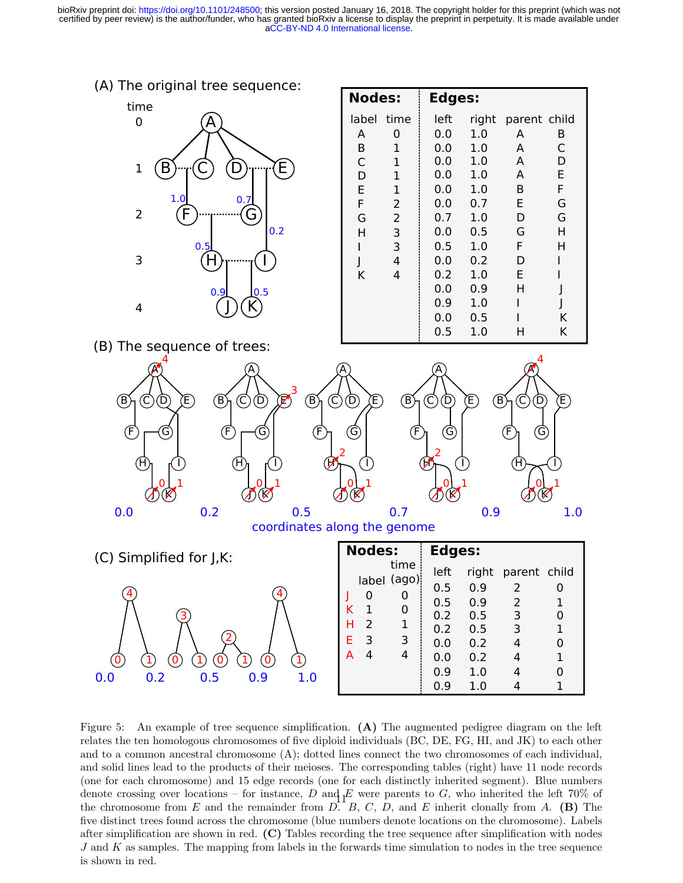



| <b>Nodes:</b> |                | Edges: |       |              |   |
|---------------|----------------|--------|-------|--------------|---|
| label         | time           | left   | right | parent child |   |
| A             | 0              | 0.0    | 1.0   | A            | B |
| B             | 1              | 0.0    | 1.0   | A            | C |
| C             | 1              | 0.0    | 1.0   | A            | D |
| D             | 1              | 0.0    | 1.0   | A            | E |
| E             | 1              | 0.0    | 1.0   | B            | F |
| F             | 2              | 0.0    | 0.7   | E            | G |
| G             | $\overline{2}$ | 0.7    | 1.0   | D            | G |
| н             | 3              | 0.0    | 0.5   | G            | н |
|               | 3              | 0.5    | 1.0   | F.           | н |
|               | 4              | 0.0    | 0.2   | D            |   |
| K             | 4              | 0.2    | 1.0   | F            |   |
|               |                | 0.0    | 0.9   | Н            |   |
|               |                | 0.9    | 1.0   |              |   |
|               |                | 0.0    | 0.5   |              | K |
|               |                | 0.5    | 1.0   | н            | K |

(B) The sequence of trees:



|     | $\boldsymbol{0}$    | $\Large{\textcircled{\small{1}}}$ |                                                        |     | Д |
|-----|---------------------|-----------------------------------|--------------------------------------------------------|-----|---|
| 0.0 | $\mathbf{1}$<br>0.2 | $\circledcirc$<br>0.5             | $\left( \mathrm{I}\right)$<br>$\left( 0\right)$<br>0.9 | 1.0 |   |

| <b>Nodes:</b>                                                                           | <b>Edges:</b>                                                |                                                      |                                                               |        |
|-----------------------------------------------------------------------------------------|--------------------------------------------------------------|------------------------------------------------------|---------------------------------------------------------------|--------|
| time<br>label (ago)<br>0<br>0<br>0<br>ĸ<br>1<br>$\mathcal{P}$<br>1<br>н<br>F.<br>3<br>3 | left<br>0.5<br>0.5<br>0.2<br>0.2<br>0.0<br>0.0<br>0.9<br>0.9 | 0.9<br>0.9<br>0.5<br>0.5<br>0.2<br>0.2<br>1.0<br>1.0 | right parent child<br>2<br>2<br>3<br>3<br>$\overline{4}$<br>4 | 1<br>1 |

<span id="page-10-0"></span>Figure 5: An example of tree sequence simplification. (A) The augmented pedigree diagram on the left relates the ten homologous chromosomes of five diploid individuals (BC, DE, FG, HI, and JK) to each other and to a common ancestral chromosome (A); dotted lines connect the two chromosomes of each individual, and solid lines lead to the products of their meioses. The corresponding tables (right) have 11 node records (one for each chromosome) and 15 edge records (one for each distinctly inherited segment). Blue numbers denote crossing over locations – for instance, D and  $E$  were parents to G, who inherited the left 70% of the chromosome from E and the remainder from  $\overline{D}$ . B, C, D, and E inherit clonally from A. (B) The five distinct trees found across the chromosome (blue numbers denote locations on the chromosome). Labels after simplification are shown in red. (C) Tables recording the tree sequence after simplification with nodes  $J$  and  $K$  as samples. The mapping from labels in the forwards time simulation to nodes in the tree sequence is shown in red.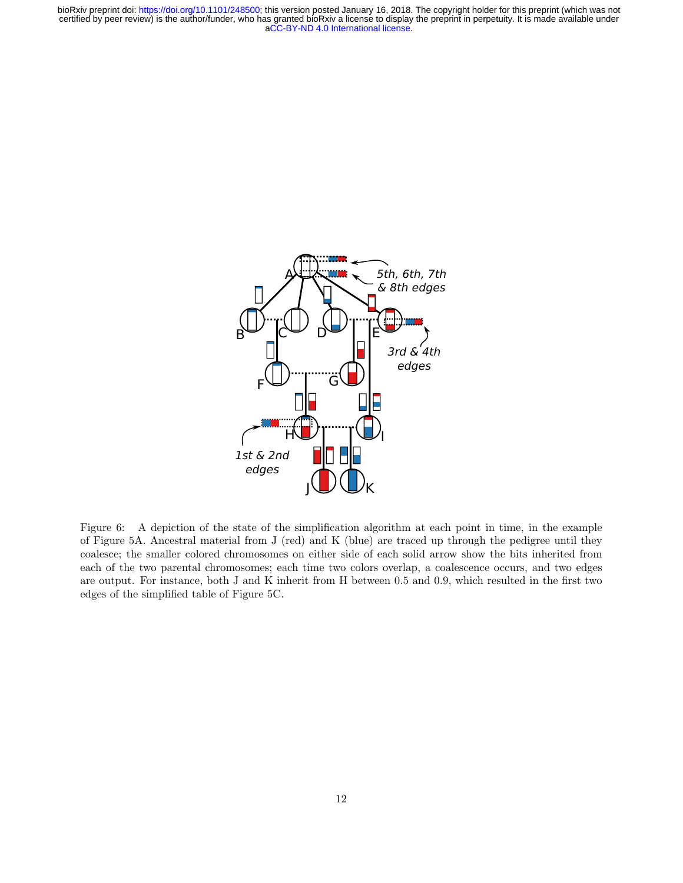

<span id="page-11-0"></span>Figure 6: A depiction of the state of the simplification algorithm at each point in time, in the example of Figure [5A](#page-10-0). Ancestral material from J (red) and K (blue) are traced up through the pedigree until they coalesce; the smaller colored chromosomes on either side of each solid arrow show the bits inherited from each of the two parental chromosomes; each time two colors overlap, a coalescence occurs, and two edges are output. For instance, both J and K inherit from H between 0.5 and 0.9, which resulted in the first two edges of the simplified table of Figure [5C](#page-10-0).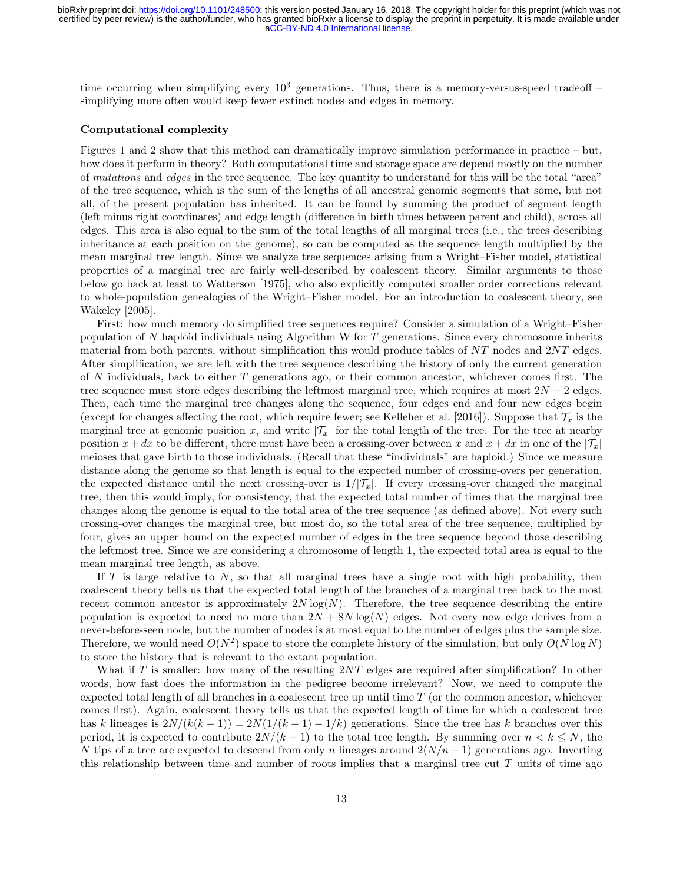time occurring when simplifying every  $10^3$  generations. Thus, there is a memory-versus-speed tradeoff – simplifying more often would keep fewer extinct nodes and edges in memory.

#### Computational complexity

Figures [1](#page-3-0) and [2](#page-4-0) show that this method can dramatically improve simulation performance in practice – but, how does it perform in theory? Both computational time and storage space are depend mostly on the number of mutations and edges in the tree sequence. The key quantity to understand for this will be the total "area" of the tree sequence, which is the sum of the lengths of all ancestral genomic segments that some, but not all, of the present population has inherited. It can be found by summing the product of segment length (left minus right coordinates) and edge length (difference in birth times between parent and child), across all edges. This area is also equal to the sum of the total lengths of all marginal trees (i.e., the trees describing inheritance at each position on the genome), so can be computed as the sequence length multiplied by the mean marginal tree length. Since we analyze tree sequences arising from a Wright–Fisher model, statistical properties of a marginal tree are fairly well-described by coalescent theory. Similar arguments to those below go back at least to [Watterson](#page-18-14) [\[1975\]](#page-18-14), who also explicitly computed smaller order corrections relevant to whole-population genealogies of the Wright–Fisher model. For an introduction to coalescent theory, see [Wakeley](#page-18-6) [\[2005\]](#page-18-6).

First: how much memory do simplified tree sequences require? Consider a simulation of a Wright–Fisher population of  $N$  haploid individuals using Algorithm W for  $T$  generations. Since every chromosome inherits material from both parents, without simplification this would produce tables of NT nodes and 2NT edges. After simplification, we are left with the tree sequence describing the history of only the current generation of N individuals, back to either  $T$  generations ago, or their common ancestor, whichever comes first. The tree sequence must store edges describing the leftmost marginal tree, which requires at most  $2N - 2$  edges. Then, each time the marginal tree changes along the sequence, four edges end and four new edges begin (except for changes affecting the root, which require fewer; see [Kelleher et al.](#page-17-10) [\[2016\]](#page-17-10)). Suppose that  $\mathcal{T}_x$  is the marginal tree at genomic position x, and write  $|\mathcal{T}_x|$  for the total length of the tree. For the tree at nearby position  $x + dx$  to be different, there must have been a crossing-over between x and  $x + dx$  in one of the  $|\mathcal{T}_x|$ meioses that gave birth to those individuals. (Recall that these "individuals" are haploid.) Since we measure distance along the genome so that length is equal to the expected number of crossing-overs per generation, the expected distance until the next crossing-over is  $1/|\mathcal{T}_x|$ . If every crossing-over changed the marginal tree, then this would imply, for consistency, that the expected total number of times that the marginal tree changes along the genome is equal to the total area of the tree sequence (as defined above). Not every such crossing-over changes the marginal tree, but most do, so the total area of the tree sequence, multiplied by four, gives an upper bound on the expected number of edges in the tree sequence beyond those describing the leftmost tree. Since we are considering a chromosome of length 1, the expected total area is equal to the mean marginal tree length, as above.

If  $T$  is large relative to  $N$ , so that all marginal trees have a single root with high probability, then coalescent theory tells us that the expected total length of the branches of a marginal tree back to the most recent common ancestor is approximately  $2N \log(N)$ . Therefore, the tree sequence describing the entire population is expected to need no more than  $2N + 8N \log(N)$  edges. Not every new edge derives from a never-before-seen node, but the number of nodes is at most equal to the number of edges plus the sample size. Therefore, we would need  $O(N^2)$  space to store the complete history of the simulation, but only  $O(N \log N)$ to store the history that is relevant to the extant population.

What if T is smaller: how many of the resulting  $2NT$  edges are required after simplification? In other words, how fast does the information in the pedigree become irrelevant? Now, we need to compute the expected total length of all branches in a coalescent tree up until time  $T$  (or the common ancestor, whichever comes first). Again, coalescent theory tells us that the expected length of time for which a coalescent tree has k lineages is  $2N/(k(k-1)) = 2N(1/(k-1) - 1/k)$  generations. Since the tree has k branches over this period, it is expected to contribute  $2N/(k-1)$  to the total tree length. By summing over  $n < k \leq N$ , the N tips of a tree are expected to descend from only n lineages around  $2(N/n-1)$  generations ago. Inverting this relationship between time and number of roots implies that a marginal tree cut  $T$  units of time ago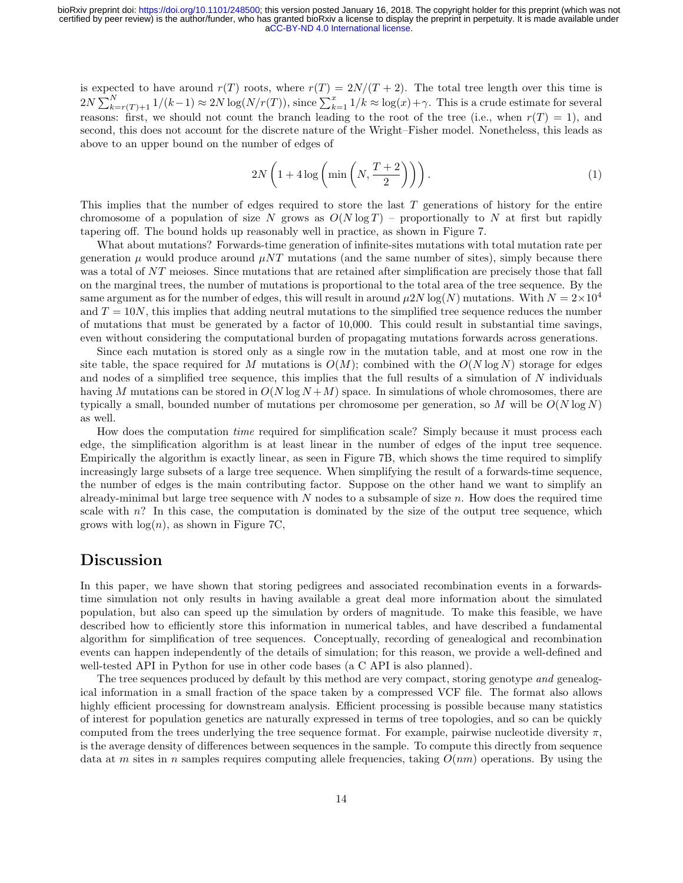is expected to have around  $r(T)$  roots, where  $r(T) = 2N/(T+2)$ . The total tree length over this time is  $2N\sum_{k=r(T)+1}^{N}1/(k-1) \approx 2N\log(N/r(T))$ , since  $\sum_{k=1}^{x}1/k \approx \log(x)+\gamma$ . This is a crude estimate for several reasons: first, we should not count the branch leading to the root of the tree (i.e., when  $r(T) = 1$ ), and second, this does not account for the discrete nature of the Wright–Fisher model. Nonetheless, this leads as above to an upper bound on the number of edges of

<span id="page-13-0"></span>
$$
2N\left(1+4\log\left(\min\left(N,\frac{T+2}{2}\right)\right)\right). \tag{1}
$$

This implies that the number of edges required to store the last  $T$  generations of history for the entire chromosome of a population of size N grows as  $O(N \log T)$  – proportionally to N at first but rapidly tapering off. The bound holds up reasonably well in practice, as shown in Figure [7.](#page-14-0)

What about mutations? Forwards-time generation of infinite-sites mutations with total mutation rate per generation  $\mu$  would produce around  $\mu NT$  mutations (and the same number of sites), simply because there was a total of NT meioses. Since mutations that are retained after simplification are precisely those that fall on the marginal trees, the number of mutations is proportional to the total area of the tree sequence. By the same argument as for the number of edges, this will result in around  $\mu 2N \log(N)$  mutations. With  $N = 2 \times 10^4$ and  $T = 10N$ , this implies that adding neutral mutations to the simplified tree sequence reduces the number of mutations that must be generated by a factor of 10,000. This could result in substantial time savings, even without considering the computational burden of propagating mutations forwards across generations.

Since each mutation is stored only as a single row in the mutation table, and at most one row in the site table, the space required for M mutations is  $O(M)$ ; combined with the  $O(N \log N)$  storage for edges and nodes of a simplified tree sequence, this implies that the full results of a simulation of  $N$  individuals having M mutations can be stored in  $O(N \log N + M)$  space. In simulations of whole chromosomes, there are typically a small, bounded number of mutations per chromosome per generation, so M will be  $O(N \log N)$ as well.

How does the computation time required for simplification scale? Simply because it must process each edge, the simplification algorithm is at least linear in the number of edges of the input tree sequence. Empirically the algorithm is exactly linear, as seen in Figure [7B](#page-14-0), which shows the time required to simplify increasingly large subsets of a large tree sequence. When simplifying the result of a forwards-time sequence, the number of edges is the main contributing factor. Suppose on the other hand we want to simplify an already-minimal but large tree sequence with  $N$  nodes to a subsample of size  $n$ . How does the required time scale with n? In this case, the computation is dominated by the size of the output tree sequence, which grows with  $log(n)$ , as shown in Figure [7C](#page-14-0),

### Discussion

In this paper, we have shown that storing pedigrees and associated recombination events in a forwardstime simulation not only results in having available a great deal more information about the simulated population, but also can speed up the simulation by orders of magnitude. To make this feasible, we have described how to efficiently store this information in numerical tables, and have described a fundamental algorithm for simplification of tree sequences. Conceptually, recording of genealogical and recombination events can happen independently of the details of simulation; for this reason, we provide a well-defined and well-tested API in Python for use in other code bases (a C API is also planned).

The tree sequences produced by default by this method are very compact, storing genotype and genealogical information in a small fraction of the space taken by a compressed VCF file. The format also allows highly efficient processing for downstream analysis. Efficient processing is possible because many statistics of interest for population genetics are naturally expressed in terms of tree topologies, and so can be quickly computed from the trees underlying the tree sequence format. For example, pairwise nucleotide diversity  $\pi$ , is the average density of differences between sequences in the sample. To compute this directly from sequence data at m sites in n samples requires computing allele frequencies, taking  $O(nm)$  operations. By using the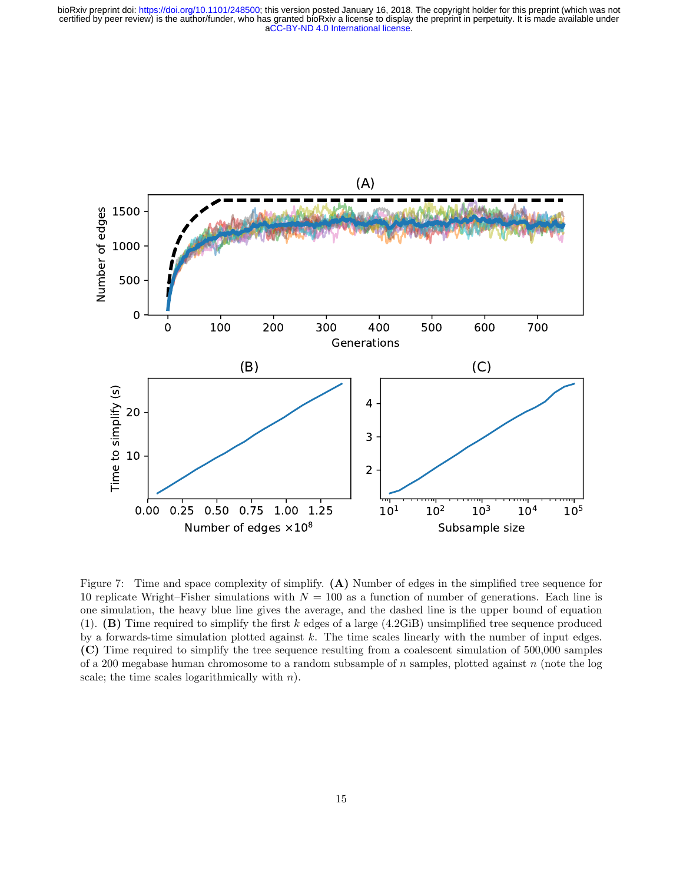

<span id="page-14-0"></span>Figure 7: Time and space complexity of simplify. (A) Number of edges in the simplified tree sequence for 10 replicate Wright–Fisher simulations with  $N = 100$  as a function of number of generations. Each line is one simulation, the heavy blue line gives the average, and the dashed line is the upper bound of equation [\(1\)](#page-13-0). (B) Time required to simplify the first k edges of a large (4.2GiB) unsimplified tree sequence produced by a forwards-time simulation plotted against k. The time scales linearly with the number of input edges. (C) Time required to simplify the tree sequence resulting from a coalescent simulation of 500,000 samples of a 200 megabase human chromosome to a random subsample of n samples, plotted against n (note the log scale; the time scales logarithmically with  $n$ ).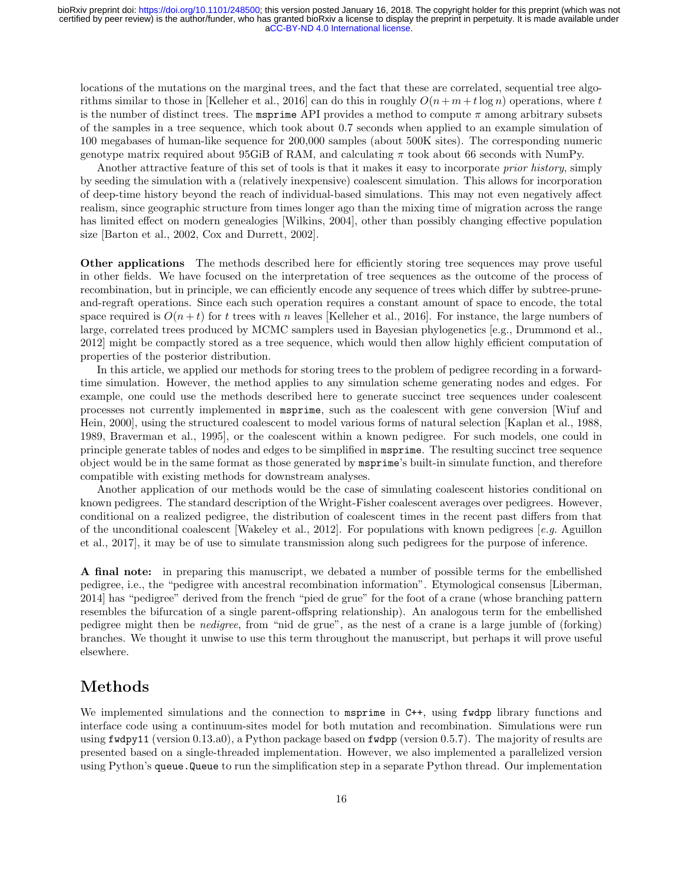locations of the mutations on the marginal trees, and the fact that these are correlated, sequential tree algo-rithms similar to those in [\[Kelleher et al., 2016\]](#page-17-10) can do this in roughly  $O(n+m+t\log n)$  operations, where t is the number of distinct trees. The **msprime** API provides a method to compute  $\pi$  among arbitrary subsets of the samples in a tree sequence, which took about 0.7 seconds when applied to an example simulation of 100 megabases of human-like sequence for 200,000 samples (about 500K sites). The corresponding numeric genotype matrix required about 95GiB of RAM, and calculating  $\pi$  took about 66 seconds with NumPy.

Another attractive feature of this set of tools is that it makes it easy to incorporate prior history, simply by seeding the simulation with a (relatively inexpensive) coalescent simulation. This allows for incorporation of deep-time history beyond the reach of individual-based simulations. This may not even negatively affect realism, since geographic structure from times longer ago than the mixing time of migration across the range has limited effect on modern genealogies [\[Wilkins, 2004\]](#page-18-15), other than possibly changing effective population size [\[Barton et al., 2002,](#page-16-5) [Cox and Durrett, 2002\]](#page-16-6).

Other applications The methods described here for efficiently storing tree sequences may prove useful in other fields. We have focused on the interpretation of tree sequences as the outcome of the process of recombination, but in principle, we can efficiently encode any sequence of trees which differ by subtree-pruneand-regraft operations. Since each such operation requires a constant amount of space to encode, the total space required is  $O(n+t)$  for t trees with n leaves [\[Kelleher et al., 2016\]](#page-17-10). For instance, the large numbers of large, correlated trees produced by MCMC samplers used in Bayesian phylogenetics [e.g., [Drummond et al.,](#page-16-7) [2012\]](#page-16-7) might be compactly stored as a tree sequence, which would then allow highly efficient computation of properties of the posterior distribution.

In this article, we applied our methods for storing trees to the problem of pedigree recording in a forwardtime simulation. However, the method applies to any simulation scheme generating nodes and edges. For example, one could use the methods described here to generate succinct tree sequences under coalescent processes not currently implemented in msprime, such as the coalescent with gene conversion [\[Wiuf and](#page-18-16) [Hein, 2000\]](#page-18-16), using the structured coalescent to model various forms of natural selection [\[Kaplan et al., 1988,](#page-17-13) [1989,](#page-17-14) [Braverman et al., 1995\]](#page-16-8), or the coalescent within a known pedigree. For such models, one could in principle generate tables of nodes and edges to be simplified in msprime. The resulting succinct tree sequence object would be in the same format as those generated by msprime's built-in simulate function, and therefore compatible with existing methods for downstream analyses.

Another application of our methods would be the case of simulating coalescent histories conditional on known pedigrees. The standard description of the Wright-Fisher coalescent averages over pedigrees. However, conditional on a realized pedigree, the distribution of coalescent times in the recent past differs from that of the unconditional coalescent [\[Wakeley et al., 2012\]](#page-18-17). For populations with known pedigrees [e.g. [Aguillon](#page-16-9) [et al., 2017\]](#page-16-9), it may be of use to simulate transmission along such pedigrees for the purpose of inference.

A final note: in preparing this manuscript, we debated a number of possible terms for the embellished pedigree, i.e., the "pedigree with ancestral recombination information". Etymological consensus [\[Liberman,](#page-17-15) [2014\]](#page-17-15) has "pedigree" derived from the french "pied de grue" for the foot of a crane (whose branching pattern resembles the bifurcation of a single parent-offspring relationship). An analogous term for the embellished pedigree might then be nedigree, from "nid de grue", as the nest of a crane is a large jumble of (forking) branches. We thought it unwise to use this term throughout the manuscript, but perhaps it will prove useful elsewhere.

# Methods

We implemented simulations and the connection to msprime in C++, using fwdpp library functions and interface code using a continuum-sites model for both mutation and recombination. Simulations were run using fwdpy11 (version 0.13.a0), a Python package based on fwdpp (version 0.5.7). The majority of results are presented based on a single-threaded implementation. However, we also implemented a parallelized version using Python's queue.Queue to run the simplification step in a separate Python thread. Our implementation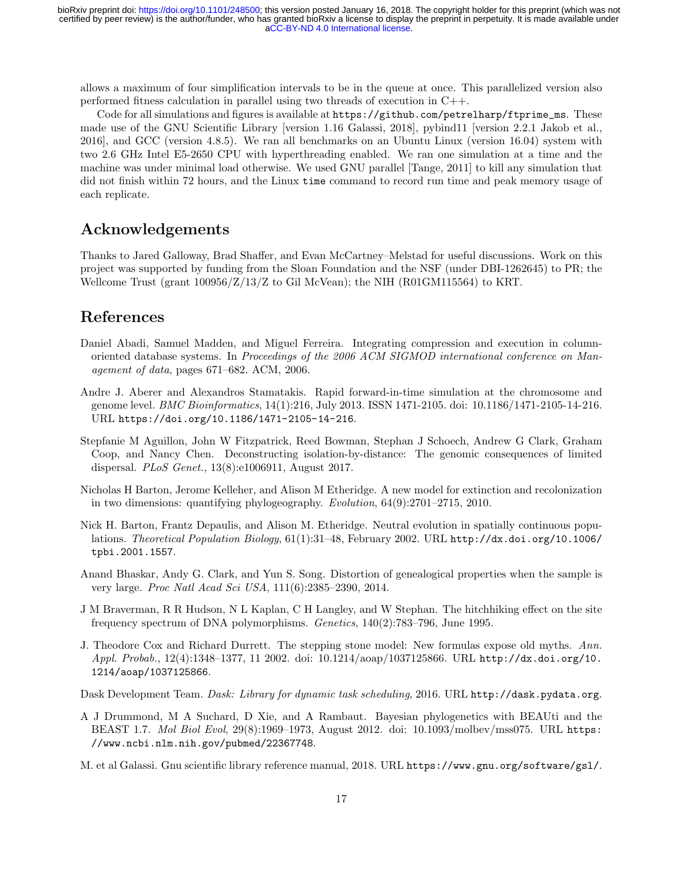allows a maximum of four simplification intervals to be in the queue at once. This parallelized version also performed fitness calculation in parallel using two threads of execution in C++.

Code for all simulations and figures is available at [https://github.com/petrelharp/ftprime\\_ms](https://github.com/petrelharp/ftprime_ms). These made use of the GNU Scientific Library [version 1.16 [Galassi, 2018\]](#page-16-10), pybind11 [version 2.2.1 [Jakob et al.,](#page-17-16) [2016\]](#page-17-16), and GCC (version 4.8.5). We ran all benchmarks on an Ubuntu Linux (version 16.04) system with two 2.6 GHz Intel E5-2650 CPU with hyperthreading enabled. We ran one simulation at a time and the machine was under minimal load otherwise. We used GNU parallel [\[Tange, 2011\]](#page-18-18) to kill any simulation that did not finish within 72 hours, and the Linux  $\tt time$  command to record run time and peak memory usage of each replicate.

## Acknowledgements

Thanks to Jared Galloway, Brad Shaffer, and Evan McCartney–Melstad for useful discussions. Work on this project was supported by funding from the Sloan Foundation and the NSF (under DBI-1262645) to PR; the Wellcome Trust (grant 100956/Z/13/Z to Gil McVean); the NIH (R01GM115564) to KRT.

# References

- <span id="page-16-3"></span>Daniel Abadi, Samuel Madden, and Miguel Ferreira. Integrating compression and execution in columnoriented database systems. In Proceedings of the 2006 ACM SIGMOD international conference on Management of data, pages 671–682. ACM, 2006.
- <span id="page-16-2"></span>Andre J. Aberer and Alexandros Stamatakis. Rapid forward-in-time simulation at the chromosome and genome level. BMC Bioinformatics, 14(1):216, July 2013. ISSN 1471-2105. doi: 10.1186/1471-2105-14-216. URL <https://doi.org/10.1186/1471-2105-14-216>.
- <span id="page-16-9"></span>Stepfanie M Aguillon, John W Fitzpatrick, Reed Bowman, Stephan J Schoech, Andrew G Clark, Graham Coop, and Nancy Chen. Deconstructing isolation-by-distance: The genomic consequences of limited dispersal. PLoS Genet., 13(8):e1006911, August 2017.
- <span id="page-16-0"></span>Nicholas H Barton, Jerome Kelleher, and Alison M Etheridge. A new model for extinction and recolonization in two dimensions: quantifying phylogeography. Evolution, 64(9):2701–2715, 2010.
- <span id="page-16-5"></span>Nick H. Barton, Frantz Depaulis, and Alison M. Etheridge. Neutral evolution in spatially continuous populations. Theoretical Population Biology, 61(1):31–48, February 2002. URL [http://dx.doi.org/10.1006/](http://dx.doi.org/10.1006/tpbi.2001.1557) [tpbi.2001.1557](http://dx.doi.org/10.1006/tpbi.2001.1557).
- <span id="page-16-1"></span>Anand Bhaskar, Andy G. Clark, and Yun S. Song. Distortion of genealogical properties when the sample is very large. Proc Natl Acad Sci USA, 111(6):2385–2390, 2014.
- <span id="page-16-8"></span>J M Braverman, R R Hudson, N L Kaplan, C H Langley, and W Stephan. The hitchhiking effect on the site frequency spectrum of DNA polymorphisms. Genetics, 140(2):783–796, June 1995.
- <span id="page-16-6"></span>J. Theodore Cox and Richard Durrett. The stepping stone model: New formulas expose old myths. Ann. Appl. Probab., 12(4):1348–1377, 11 2002. doi: 10.1214/aoap/1037125866. URL [http://dx.doi.org/10.](http://dx.doi.org/10.1214/aoap/1037125866) [1214/aoap/1037125866](http://dx.doi.org/10.1214/aoap/1037125866).

<span id="page-16-4"></span>Dask Development Team. Dask: Library for dynamic task scheduling, 2016. URL <http://dask.pydata.org>.

<span id="page-16-7"></span>A J Drummond, M A Suchard, D Xie, and A Rambaut. Bayesian phylogenetics with BEAUti and the BEAST 1.7. Mol Biol Evol, 29(8):1969–1973, August 2012. doi: 10.1093/molbev/mss075. URL [https:](https://www.ncbi.nlm.nih.gov/pubmed/22367748) [//www.ncbi.nlm.nih.gov/pubmed/22367748](https://www.ncbi.nlm.nih.gov/pubmed/22367748).

<span id="page-16-10"></span>M. et al Galassi. Gnu scientific library reference manual, 2018. URL <https://www.gnu.org/software/gsl/>.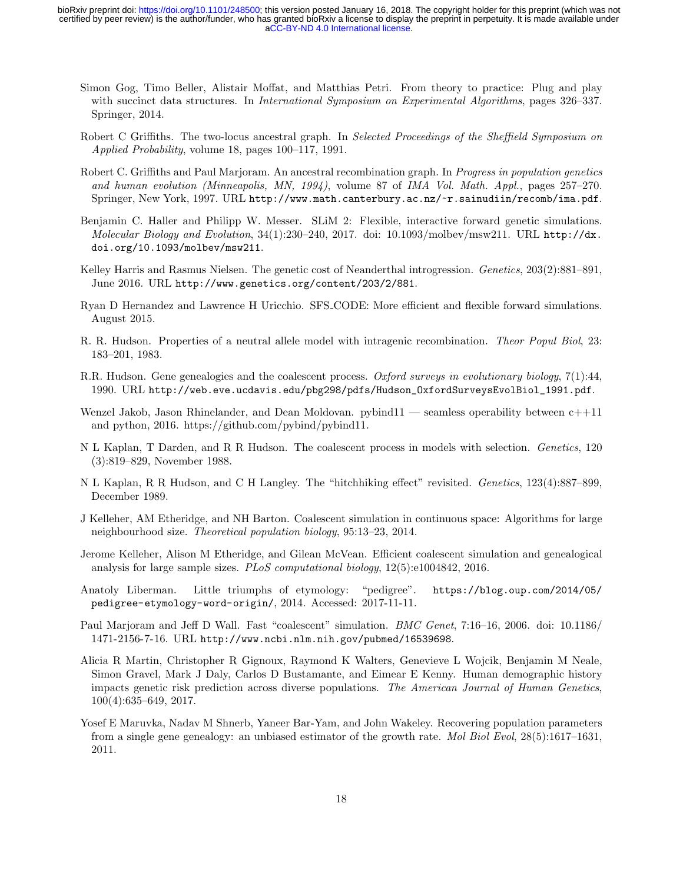- <span id="page-17-11"></span>Simon Gog, Timo Beller, Alistair Moffat, and Matthias Petri. From theory to practice: Plug and play with succinct data structures. In *International Symposium on Experimental Algorithms*, pages 326–337. Springer, 2014.
- <span id="page-17-7"></span>Robert C Griffiths. The two-locus ancestral graph. In *Selected Proceedings of the Sheffield Symposium on* Applied Probability, volume 18, pages 100–117, 1991.
- <span id="page-17-8"></span>Robert C. Griffiths and Paul Marjoram. An ancestral recombination graph. In Progress in population genetics and human evolution (Minneapolis, MN, 1994), volume 87 of IMA Vol. Math. Appl., pages 257–270. Springer, New York, 1997. URL <http://www.math.canterbury.ac.nz/~r.sainudiin/recomb/ima.pdf>.
- <span id="page-17-5"></span>Benjamin C. Haller and Philipp W. Messer. SLiM 2: Flexible, interactive forward genetic simulations. Molecular Biology and Evolution, 34(1):230–240, 2017. doi: 10.1093/molbev/msw211. URL [http://dx.](http://dx.doi.org/10.1093/molbev/msw211) [doi.org/10.1093/molbev/msw211](http://dx.doi.org/10.1093/molbev/msw211).
- <span id="page-17-4"></span>Kelley Harris and Rasmus Nielsen. The genetic cost of Neanderthal introgression. *Genetics*, 203(2):881–891, June 2016. URL <http://www.genetics.org/content/203/2/881>.
- <span id="page-17-6"></span>Ryan D Hernandez and Lawrence H Uricchio. SFS CODE: More efficient and flexible forward simulations. August 2015.
- <span id="page-17-12"></span>R. R. Hudson. Properties of a neutral allele model with intragenic recombination. Theor Popul Biol, 23: 183–201, 1983.
- <span id="page-17-0"></span>R.R. Hudson. Gene genealogies and the coalescent process. Oxford surveys in evolutionary biology, 7(1):44, 1990. URL [http://web.eve.ucdavis.edu/pbg298/pdfs/Hudson\\_OxfordSurveysEvolBiol\\_1991.pdf](http://web.eve.ucdavis.edu/pbg298/pdfs/Hudson_OxfordSurveysEvolBiol_1991.pdf).
- <span id="page-17-16"></span>Wenzel Jakob, Jason Rhinelander, and Dean Moldovan. pybind $11$  — seamless operability between  $c++11$ and python, 2016. https://github.com/pybind/pybind11.
- <span id="page-17-13"></span>N L Kaplan, T Darden, and R R Hudson. The coalescent process in models with selection. Genetics, 120 (3):819–829, November 1988.
- <span id="page-17-14"></span>N L Kaplan, R R Hudson, and C H Langley. The "hitchhiking effect" revisited. Genetics, 123(4):887–899, December 1989.
- <span id="page-17-1"></span>J Kelleher, AM Etheridge, and NH Barton. Coalescent simulation in continuous space: Algorithms for large neighbourhood size. Theoretical population biology, 95:13–23, 2014.
- <span id="page-17-10"></span>Jerome Kelleher, Alison M Etheridge, and Gilean McVean. Efficient coalescent simulation and genealogical analysis for large sample sizes. PLoS computational biology, 12(5):e1004842, 2016.
- <span id="page-17-15"></span>Anatoly Liberman. Little triumphs of etymology: "pedigree". [https://blog.oup.com/2014/05/](https://blog.oup.com/2014/05/pedigree-etymology-word-origin/) [pedigree-etymology-word-origin/](https://blog.oup.com/2014/05/pedigree-etymology-word-origin/), 2014. Accessed: 2017-11-11.
- <span id="page-17-9"></span>Paul Marjoram and Jeff D Wall. Fast "coalescent" simulation. BMC Genet, 7:16–16, 2006. doi: 10.1186/ 1471-2156-7-16. URL <http://www.ncbi.nlm.nih.gov/pubmed/16539698>.
- <span id="page-17-2"></span>Alicia R Martin, Christopher R Gignoux, Raymond K Walters, Genevieve L Wojcik, Benjamin M Neale, Simon Gravel, Mark J Daly, Carlos D Bustamante, and Eimear E Kenny. Human demographic history impacts genetic risk prediction across diverse populations. The American Journal of Human Genetics, 100(4):635–649, 2017.
- <span id="page-17-3"></span>Yosef E Maruvka, Nadav M Shnerb, Yaneer Bar-Yam, and John Wakeley. Recovering population parameters from a single gene genealogy: an unbiased estimator of the growth rate. Mol Biol Evol, 28(5):1617–1631, 2011.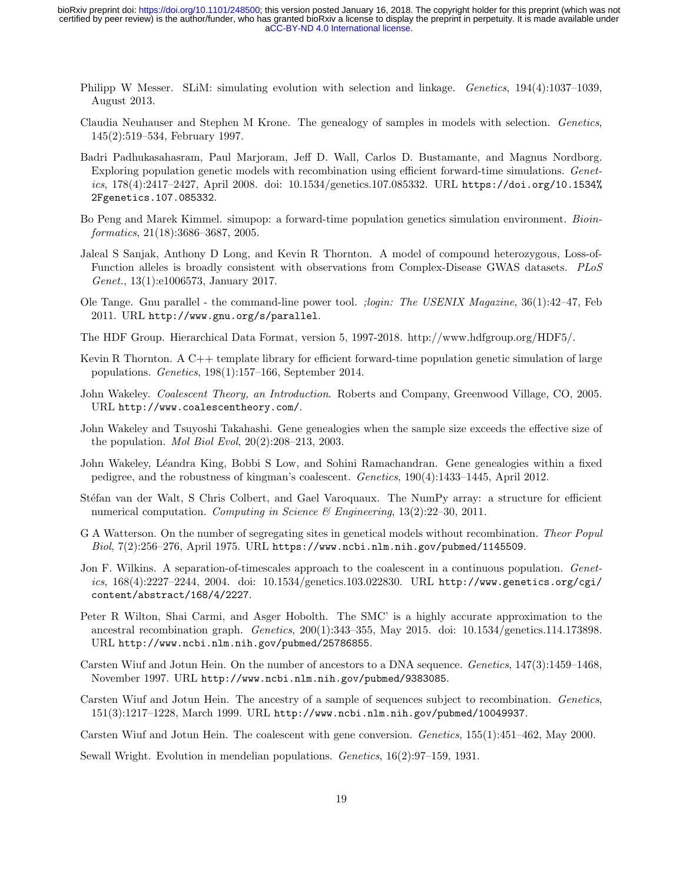- <span id="page-18-2"></span>Philipp W Messer. SLiM: simulating evolution with selection and linkage. *Genetics*, 194(4):1037–1039, August 2013.
- <span id="page-18-0"></span>Claudia Neuhauser and Stephen M Krone. The genealogy of samples in models with selection. Genetics, 145(2):519–534, February 1997.
- <span id="page-18-7"></span>Badri Padhukasahasram, Paul Marjoram, Jeff D. Wall, Carlos D. Bustamante, and Magnus Nordborg. Exploring population genetic models with recombination using efficient forward-time simulations. Genetics, 178(4):2417–2427, April 2008. doi: 10.1534/genetics.107.085332. URL [https://doi.org/10.1534%](https://doi.org/10.1534%2Fgenetics.107.085332) [2Fgenetics.107.085332](https://doi.org/10.1534%2Fgenetics.107.085332).
- <span id="page-18-13"></span>Bo Peng and Marek Kimmel. simupop: a forward-time population genetics simulation environment. Bioinformatics, 21(18):3686–3687, 2005.
- <span id="page-18-3"></span>Jaleal S Sanjak, Anthony D Long, and Kevin R Thornton. A model of compound heterozygous, Loss-of-Function alleles is broadly consistent with observations from Complex-Disease GWAS datasets. PLoS Genet., 13(1):e1006573, January 2017.
- <span id="page-18-18"></span>Ole Tange. Gnu parallel - the command-line power tool. ;login: The USENIX Magazine, 36(1):42–47, Feb 2011. URL <http://www.gnu.org/s/parallel>.
- <span id="page-18-12"></span>The HDF Group. Hierarchical Data Format, version 5, 1997-2018. http://www.hdfgroup.org/HDF5/.
- <span id="page-18-4"></span>Kevin R Thornton. A C++ template library for efficient forward-time population genetic simulation of large populations. Genetics, 198(1):157–166, September 2014.
- <span id="page-18-6"></span>John Wakeley. *Coalescent Theory, an Introduction*. Roberts and Company, Greenwood Village, CO, 2005. URL <http://www.coalescentheory.com/>.
- <span id="page-18-1"></span>John Wakeley and Tsuyoshi Takahashi. Gene genealogies when the sample size exceeds the effective size of the population. *Mol Biol Evol*,  $20(2):208-213$ ,  $2003$ .
- <span id="page-18-17"></span>John Wakeley, Léandra King, Bobbi S Low, and Sohini Ramachandran. Gene genealogies within a fixed pedigree, and the robustness of kingman's coalescent. Genetics, 190(4):1433–1445, April 2012.
- <span id="page-18-11"></span>Stéfan van der Walt, S Chris Colbert, and Gael Varoquaux. The NumPy array: a structure for efficient numerical computation. Computing in Science & Engineering,  $13(2):22-30$ ,  $2011$ .
- <span id="page-18-14"></span>G A Watterson. On the number of segregating sites in genetical models without recombination. Theor Popul Biol,  $7(2):256-276$ , April 1975. URL <https://www.ncbi.nlm.nih.gov/pubmed/1145509>.
- <span id="page-18-15"></span>Jon F. Wilkins. A separation-of-timescales approach to the coalescent in a continuous population. Genetics, 168(4):2227–2244, 2004. doi: 10.1534/genetics.103.022830. URL [http://www.genetics.org/cgi/](http://www.genetics.org/cgi/content/abstract/168/4/2227) [content/abstract/168/4/2227](http://www.genetics.org/cgi/content/abstract/168/4/2227).
- <span id="page-18-10"></span>Peter R Wilton, Shai Carmi, and Asger Hobolth. The SMC' is a highly accurate approximation to the ancestral recombination graph. Genetics, 200(1):343–355, May 2015. doi: 10.1534/genetics.114.173898. URL <http://www.ncbi.nlm.nih.gov/pubmed/25786855>.
- <span id="page-18-8"></span>Carsten Wiuf and Jotun Hein. On the number of ancestors to a DNA sequence. Genetics, 147(3):1459–1468, November 1997. URL <http://www.ncbi.nlm.nih.gov/pubmed/9383085>.
- <span id="page-18-9"></span>Carsten Wiuf and Jotun Hein. The ancestry of a sample of sequences subject to recombination. Genetics, 151(3):1217–1228, March 1999. URL <http://www.ncbi.nlm.nih.gov/pubmed/10049937>.
- <span id="page-18-16"></span>Carsten Wiuf and Jotun Hein. The coalescent with gene conversion. Genetics, 155(1):451–462, May 2000.

<span id="page-18-5"></span>Sewall Wright. Evolution in mendelian populations. Genetics, 16(2):97–159, 1931.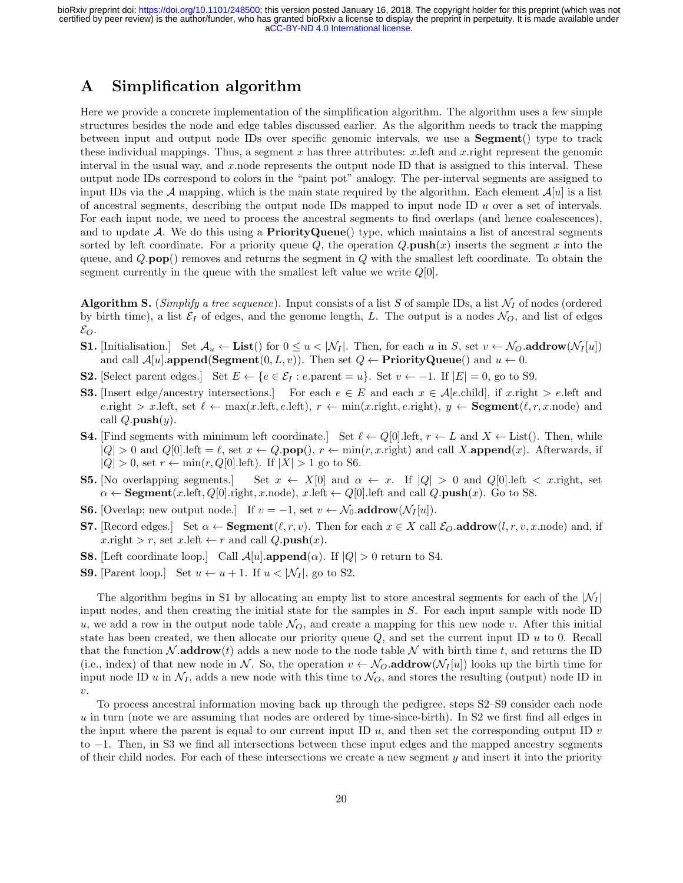## <span id="page-19-0"></span>A Simplification algorithm

Here we provide a concrete implementation of the simplification algorithm. The algorithm uses a few simple structures besides the node and edge tables discussed earlier. As the algorithm needs to track the mapping between input and output node IDs over specific genomic intervals, we use a Segment() type to track these individual mappings. Thus, a segment x has three attributes: x. left and x. right represent the genomic interval in the usual way, and  $x$ .node represents the output node ID that is assigned to this interval. These output node IDs correspond to colors in the "paint pot" analogy. The per-interval segments are assigned to input IDs via the A mapping, which is the main state required by the algorithm. Each element  $\mathcal{A}[u]$  is a list of ancestral segments, describing the output node IDs mapped to input node ID  $u$  over a set of intervals. For each input node, we need to process the ancestral segments to find overlaps (and hence coalescences), and to update  $\mathcal{A}$ . We do this using a **PriorityQueue**() type, which maintains a list of ancestral segments sorted by left coordinate. For a priority queue  $Q$ , the operation  $Q$  push $(x)$  inserts the segment x into the queue, and  $Q.\textbf{pop}$ ) removes and returns the segment in  $Q$  with the smallest left coordinate. To obtain the segment currently in the queue with the smallest left value we write  $Q[0]$ .

**Algorithm S.** (Simplify a tree sequence). Input consists of a list S of sample IDs, a list  $\mathcal{N}_I$  of nodes (ordered by birth time), a list  $\mathcal{E}_I$  of edges, and the genome length, L. The output is a nodes  $\mathcal{N}_O$ , and list of edges  $\varepsilon_{\scriptscriptstyle O}$ .

- **S1.** [Initialisation.] Set  $\mathcal{A}_u \leftarrow \text{List}()$  for  $0 \le u \le |\mathcal{N}_I|$ . Then, for each u in S, set  $v \leftarrow \mathcal{N}_O$  addrow $(\mathcal{N}_I[u])$ and call  $\mathcal{A}[u]$ .append(Segment $(0, L, v)$ ). Then set  $Q \leftarrow$  **PriorityQueue**() and  $u \leftarrow 0$ .
- **S2.** [Select parent edges.] Set  $E \leftarrow \{e \in \mathcal{E}_I : e.\text{parent} = u\}$ . Set  $v \leftarrow -1$ . If  $|E| = 0$ , go to S9.
- **S3.** [Insert edge/ancestry intersections.] For each  $e \in E$  and each  $x \in \mathcal{A}[e\text{.child}]$ , if x.right  $\geq e\text{.left}$  and e.right > x.left, set  $\ell \leftarrow \max(x.\text{left}, r \leftarrow \min(x.\text{right}, e.\text{right}), y \leftarrow \text{Segment}(\ell, r, x.\text{node})$  and call  $Q.\textbf{push}(y)$ .
- **S4.** [Find segments with minimum left coordinate.] Set  $\ell \leftarrow Q[0]$ . left,  $r \leftarrow L$  and  $X \leftarrow$  List(). Then, while  $|Q| > 0$  and  $Q[0]$ . left  $= \ell$ , set  $x \leftarrow Q$ . pop(),  $r \leftarrow \min(r, x$ . right) and call X. append $(x)$ . Afterwards, if  $|Q| > 0$ , set  $r \leftarrow \min(r, Q[0].\text{left}).$  If  $|X| > 1$  go to S6.
- **S5.** [No overlapping segments.] Set  $x \leftarrow X[0]$  and  $\alpha \leftarrow x$ . If  $|Q| > 0$  and  $Q[0]$ . left  $\lt x$  right, set  $\alpha \leftarrow \text{Segment}(x.\text{left}, Q[0].\text{right}, x.\text{node}), x.\text{left} \leftarrow Q[0].\text{left} \text{ and } calQ.\text{push}(x).$  Go to S8.
- **S6.** [Overlap; new output node.] If  $v = -1$ , set  $v \leftarrow \mathcal{N}_0$  addrow $(\mathcal{N}_I[u])$ .
- **S7.** [Record edges.] Set  $\alpha \leftarrow$  **Segment** $(\ell, r, v)$ . Then for each  $x \in X$  call  $\mathcal{E}_O$  **addrow** $(l, r, v, x$  node) and, if  $x.\text{right} > r$ , set  $x.\text{left} \leftarrow r$  and call  $Q.\text{push}(x)$ .
- **S8.** [Left coordinate loop.] Call  $\mathcal{A}[u]$  **append**( $\alpha$ ). If  $|Q| > 0$  return to S4.
- **S9.** [Parent loop.] Set  $u \leftarrow u + 1$ . If  $u < |\mathcal{N}_I|$ , go to S2.

The algorithm begins in S1 by allocating an empty list to store ancestral segments for each of the  $|\mathcal{N}_I|$ input nodes, and then creating the initial state for the samples in S. For each input sample with node ID u, we add a row in the output node table  $\mathcal{N}_O$ , and create a mapping for this new node v. After this initial state has been created, we then allocate our priority queue  $Q$ , and set the current input ID  $u$  to 0. Recall that the function  $\mathcal N$  addrow(t) adds a new node to the node table  $\mathcal N$  with birth time t, and returns the ID (i.e., index) of that new node in N. So, the operation  $v \leftarrow \mathcal{N}_O$  addrow $(\mathcal{N}_I[u])$  looks up the birth time for input node ID u in  $\mathcal{N}_I$ , adds a new node with this time to  $\mathcal{N}_O$ , and stores the resulting (output) node ID in  $\upsilon$ .

To process ancestral information moving back up through the pedigree, steps S2–S9 consider each node u in turn (note we are assuming that nodes are ordered by time-since-birth). In S2 we first find all edges in the input where the parent is equal to our current input ID  $u$ , and then set the corresponding output ID  $v$ to −1. Then, in S3 we find all intersections between these input edges and the mapped ancestry segments of their child nodes. For each of these intersections we create a new segment  $y$  and insert it into the priority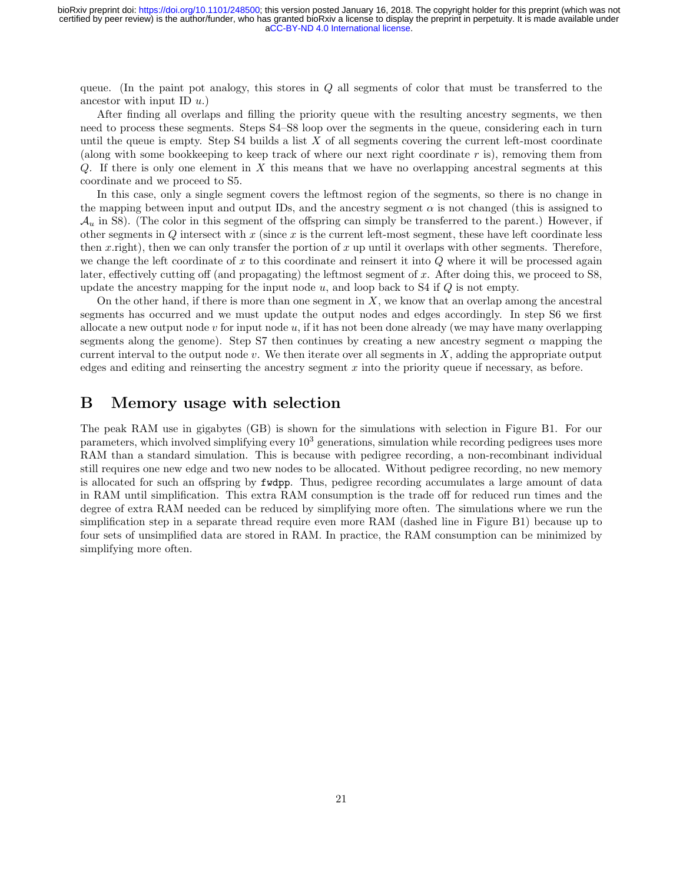queue. (In the paint pot analogy, this stores in  $Q$  all segments of color that must be transferred to the ancestor with input ID  $u$ .)

After finding all overlaps and filling the priority queue with the resulting ancestry segments, we then need to process these segments. Steps S4–S8 loop over the segments in the queue, considering each in turn until the queue is empty. Step S4 builds a list  $X$  of all segments covering the current left-most coordinate (along with some bookkeeping to keep track of where our next right coordinate  $r$  is), removing them from  $Q$ . If there is only one element in X this means that we have no overlapping ancestral segments at this coordinate and we proceed to S5.

In this case, only a single segment covers the leftmost region of the segments, so there is no change in the mapping between input and output IDs, and the ancestry segment  $\alpha$  is not changed (this is assigned to  $\mathcal{A}_u$  in S8). (The color in this segment of the offspring can simply be transferred to the parent.) However, if other segments in  $Q$  intersect with  $x$  (since  $x$  is the current left-most segment, these have left coordinate less then x.right), then we can only transfer the portion of x up until it overlaps with other segments. Therefore, we change the left coordinate of x to this coordinate and reinsert it into  $Q$  where it will be processed again later, effectively cutting off (and propagating) the leftmost segment of x. After doing this, we proceed to S8, update the ancestry mapping for the input node  $u$ , and loop back to S4 if  $Q$  is not empty.

On the other hand, if there is more than one segment in  $X$ , we know that an overlap among the ancestral segments has occurred and we must update the output nodes and edges accordingly. In step S6 we first allocate a new output node  $v$  for input node  $u$ , if it has not been done already (we may have many overlapping segments along the genome). Step S7 then continues by creating a new ancestry segment  $\alpha$  mapping the current interval to the output node  $v$ . We then iterate over all segments in  $X$ , adding the appropriate output edges and editing and reinserting the ancestry segment  $x$  into the priority queue if necessary, as before.

### <span id="page-20-0"></span>B Memory usage with selection

The peak RAM use in gigabytes (GB) is shown for the simulations with selection in Figure [B1.](#page-3-0) For our parameters, which involved simplifying every  $10<sup>3</sup>$  generations, simulation while recording pedigrees uses more RAM than a standard simulation. This is because with pedigree recording, a non-recombinant individual still requires one new edge and two new nodes to be allocated. Without pedigree recording, no new memory is allocated for such an offspring by fwdpp. Thus, pedigree recording accumulates a large amount of data in RAM until simplification. This extra RAM consumption is the trade off for reduced run times and the degree of extra RAM needed can be reduced by simplifying more often. The simulations where we run the simplification step in a separate thread require even more RAM (dashed line in Figure [B1\)](#page-3-0) because up to four sets of unsimplified data are stored in RAM. In practice, the RAM consumption can be minimized by simplifying more often.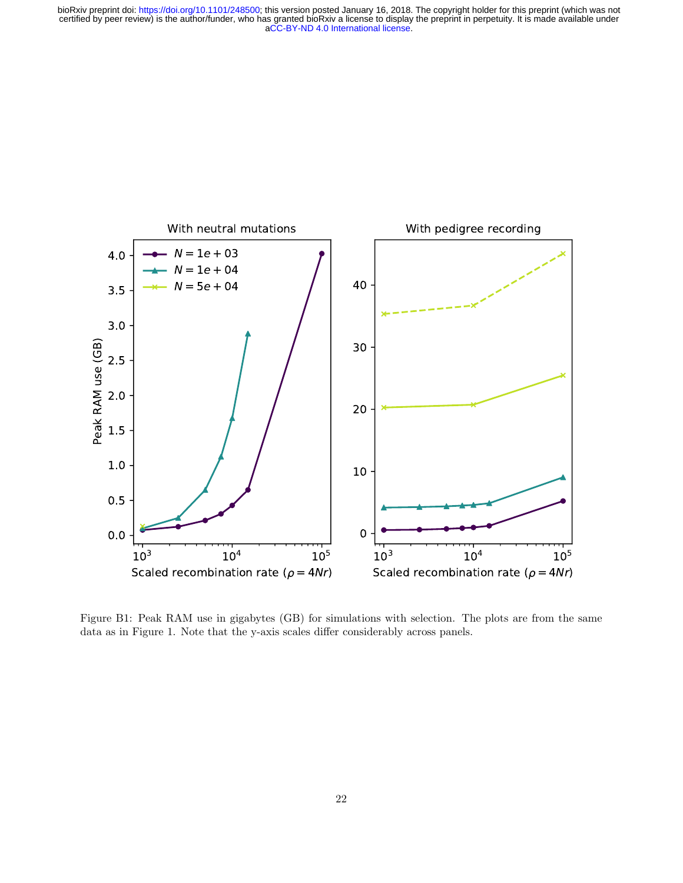

Figure B1: Peak RAM use in gigabytes (GB) for simulations with selection. The plots are from the same data as in Figure [1.](#page-3-0) Note that the y-axis scales differ considerably across panels.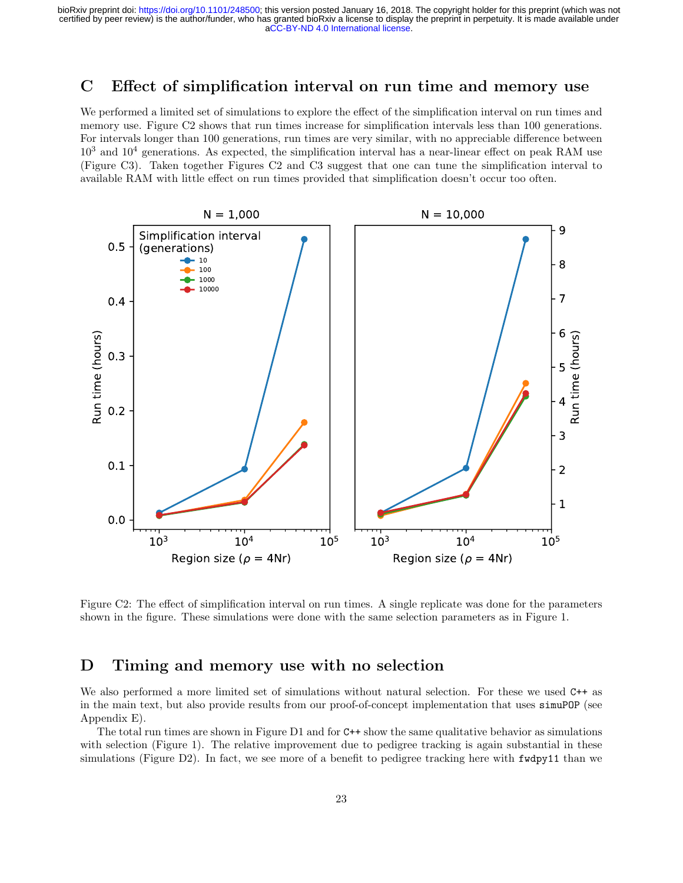### <span id="page-22-1"></span>C Effect of simplification interval on run time and memory use

We performed a limited set of simulations to explore the effect of the simplification interval on run times and memory use. Figure [C2](#page-4-0) shows that run times increase for simplification intervals less than 100 generations. For intervals longer than 100 generations, run times are very similar, with no appreciable difference between  $10^3$  and  $10^4$  generations. As expected, the simplification interval has a near-linear effect on peak RAM use (Figure [C3\)](#page-5-0). Taken together Figures [C2](#page-4-0) and [C3](#page-5-0) suggest that one can tune the simplification interval to available RAM with little effect on run times provided that simplification doesn't occur too often.



Figure C2: The effect of simplification interval on run times. A single replicate was done for the parameters shown in the figure. These simulations were done with the same selection parameters as in Figure [1.](#page-3-0)

## <span id="page-22-0"></span>D Timing and memory use with no selection

We also performed a more limited set of simulations without natural selection. For these we used  $C++$  as in the main text, but also provide results from our proof-of-concept implementation that uses simuPOP (see Appendix [E\)](#page-23-0).

The total run times are shown in Figure [D1](#page-3-0) and for  $C^{++}$  show the same qualitative behavior as simulations with selection (Figure [1\)](#page-3-0). The relative improvement due to pedigree tracking is again substantial in these simulations (Figure [D2\)](#page-4-0). In fact, we see more of a benefit to pedigree tracking here with fwdpy11 than we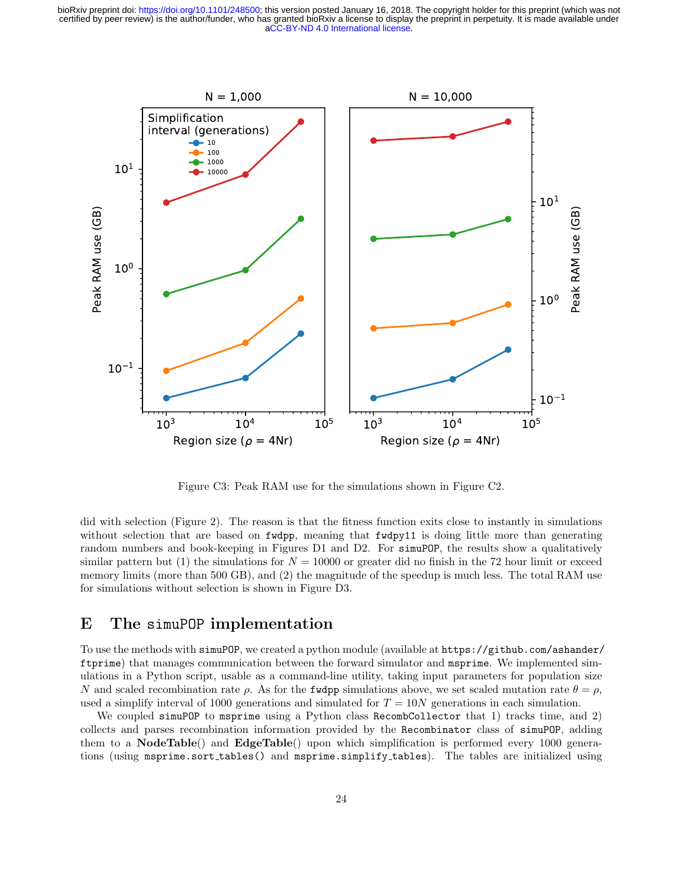

Figure C3: Peak RAM use for the simulations shown in Figure [C2.](#page-4-0)

did with selection (Figure [2\)](#page-4-0). The reason is that the fitness function exits close to instantly in simulations without selection that are based on **fudpp**, meaning that **fudpy11** is doing little more than generating random numbers and book-keeping in Figures [D1](#page-3-0) and [D2.](#page-4-0) For simupop, the results show a qualitatively similar pattern but (1) the simulations for  $N = 10000$  or greater did no finish in the 72 hour limit or exceed memory limits (more than 500 GB), and (2) the magnitude of the speedup is much less. The total RAM use for simulations without selection is shown in Figure [D3.](#page-5-0)

### <span id="page-23-0"></span>E The simuPOP implementation

To use the methods with simuPOP, we created a python module (available at [https://github.com/ashander/](https://github.com/ashander/ftprime) [ftprime](https://github.com/ashander/ftprime)) that manages communication between the forward simulator and msprime. We implemented simulations in a Python script, usable as a command-line utility, taking input parameters for population size N and scaled recombination rate  $\rho$ . As for the fudpp simulations above, we set scaled mutation rate  $\theta = \rho$ , used a simplify interval of 1000 generations and simulated for  $T = 10N$  generations in each simulation.

We coupled simuPOP to msprime using a Python class RecombCollector that 1) tracks time, and 2) collects and parses recombination information provided by the Recombinator class of simuPOP, adding them to a NodeTable() and EdgeTable() upon which simplification is performed every 1000 generations (using msprime.sort tables() and msprime.simplify tables). The tables are initialized using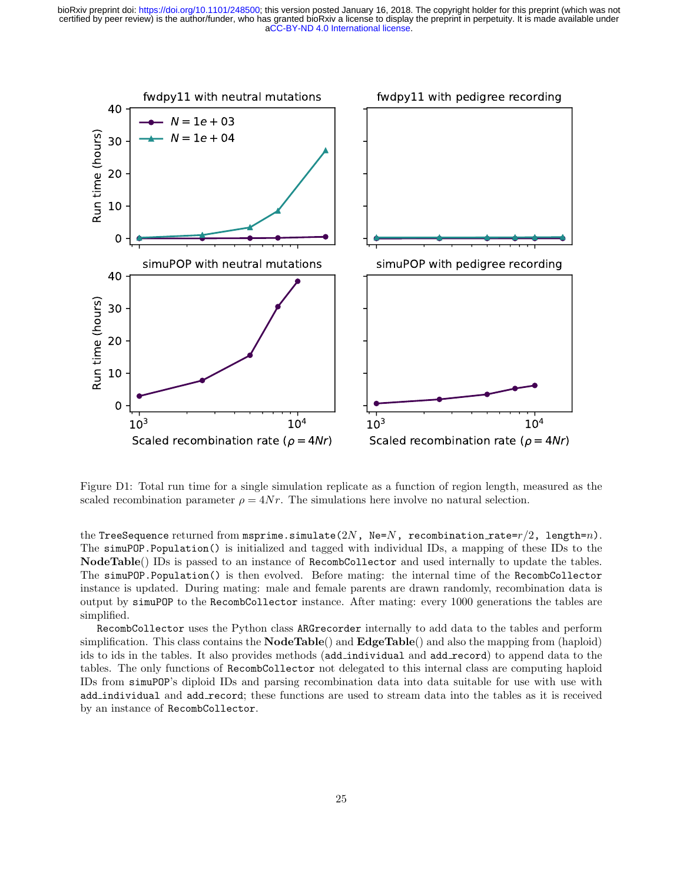

Figure D1: Total run time for a single simulation replicate as a function of region length, measured as the scaled recombination parameter  $\rho = 4Nr$ . The simulations here involve no natural selection.

the TreeSequence returned from msprime.simulate(2N, Ne=N, recombination rate= $r/2$ , length=n). The simuPOP.Population() is initialized and tagged with individual IDs, a mapping of these IDs to the NodeTable() IDs is passed to an instance of RecombCollector and used internally to update the tables. The simuPOP.Population() is then evolved. Before mating: the internal time of the RecombCollector instance is updated. During mating: male and female parents are drawn randomly, recombination data is output by simuPOP to the RecombCollector instance. After mating: every 1000 generations the tables are simplified.

RecombCollector uses the Python class ARGrecorder internally to add data to the tables and perform simplification. This class contains the  $\textbf{NodeTable}()$  and  $\textbf{EdgeTable}()$  and also the mapping from (haploid) ids to ids in the tables. It also provides methods (add\_individual and add\_record) to append data to the tables. The only functions of RecombCollector not delegated to this internal class are computing haploid IDs from simuPOP's diploid IDs and parsing recombination data into data suitable for use with use with add individual and add record; these functions are used to stream data into the tables as it is received by an instance of RecombCollector.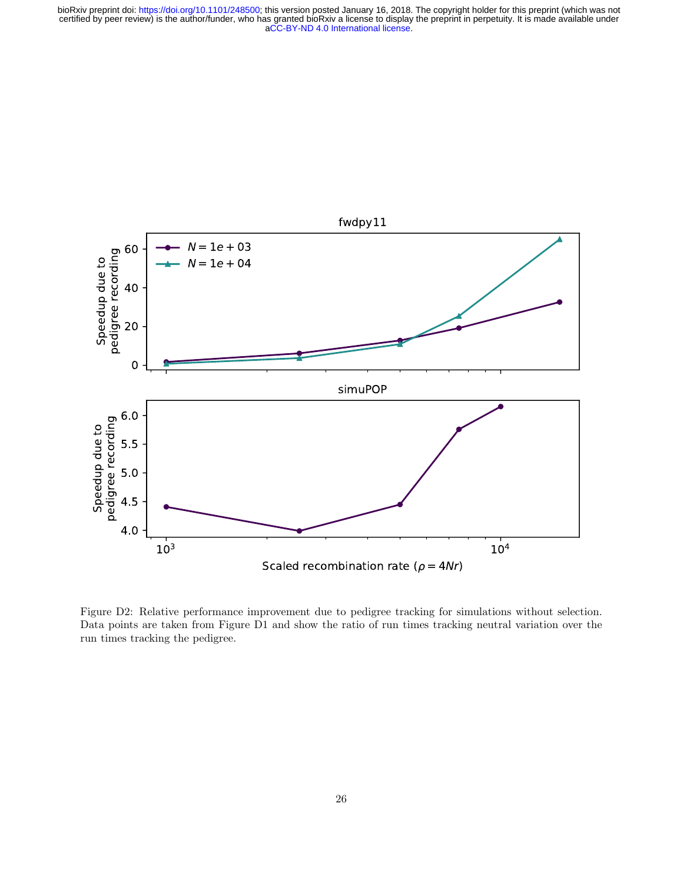

Figure D2: Relative performance improvement due to pedigree tracking for simulations without selection. Data points are taken from Figure [D1](#page-3-0) and show the ratio of run times tracking neutral variation over the run times tracking the pedigree.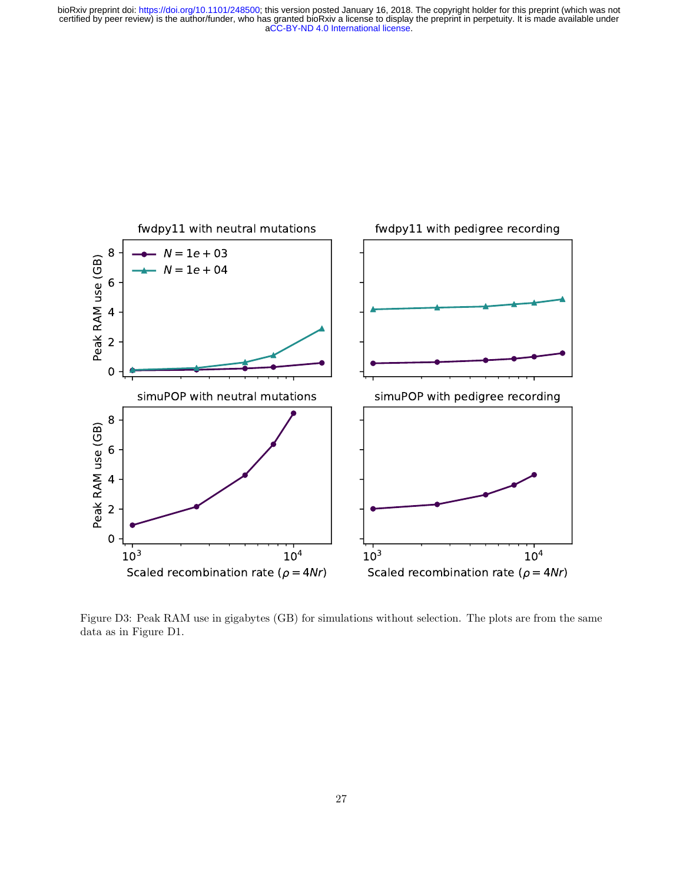

Figure D3: Peak RAM use in gigabytes (GB) for simulations without selection. The plots are from the same data as in Figure [D1.](#page-3-0)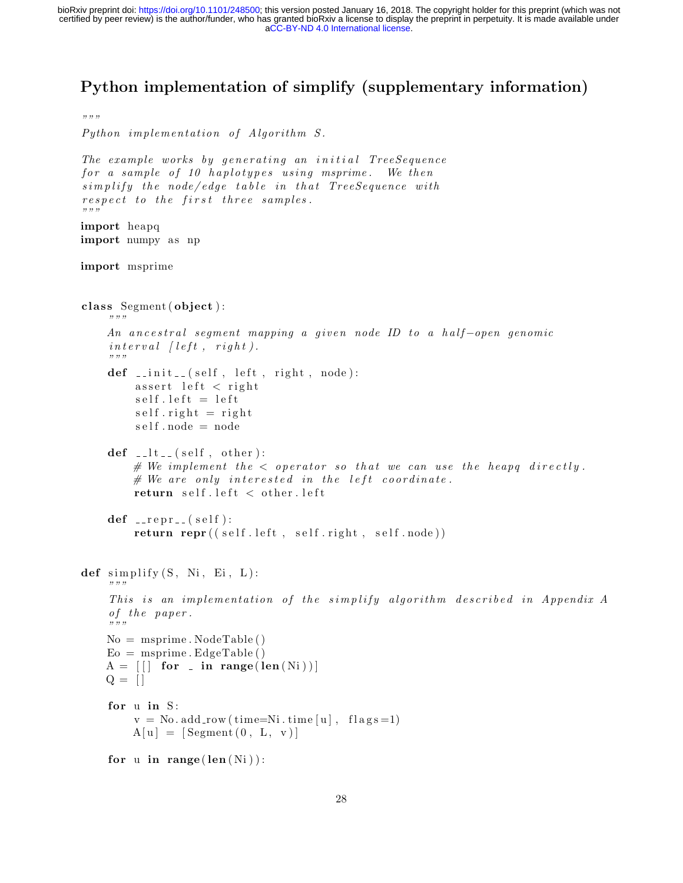# Python implementation of simplify (supplementary information)

```
""""
Python implementation of Algorithm S.
The example works by generating an initial TreeSequence
for a sample of 10 haplotypes using msprime. We then
simplify the node/edge table in that TreeSequence with
respect to the first three samples.
"" "
import heapq
import numpy as np
import msprime
class Segment (object):
    """
    An ancestral segment mapping a given node ID to a half-open genomic
    \int interval \int left, right).
    """
    def \sim \text{init} = (self, left, right, node):
         \text{assert} left \text{cript} right
         self. left = leftself.right = rightself node = nodedef \_ -lt_ - (self \, , \, other) :# We implement the \lt operator so that we can use the heapq directly.
        # We are only interested in the left coordinate.return self.left \langle other.left
    def \_irepr_{--}(self):return repr ((self.left, self.right, self.node))
def simplify(S, Ni, Ei, L):
    """
    This is an implementation of the simplify algorithm described in Appendix A
    of the paper.
    "" "
    No = msprime. NodeTable()E_0 = msprime. EdgeTable ()
    A = \begin{bmatrix} \end{bmatrix} for \ldots in range (\text{len}(Ni))Q = [for u in S:
         v = No. add_{row} (time=Ni.time[u], flag s=1)A[u] = [Segment(0, L, v)]for u in range (len(Ni)):
```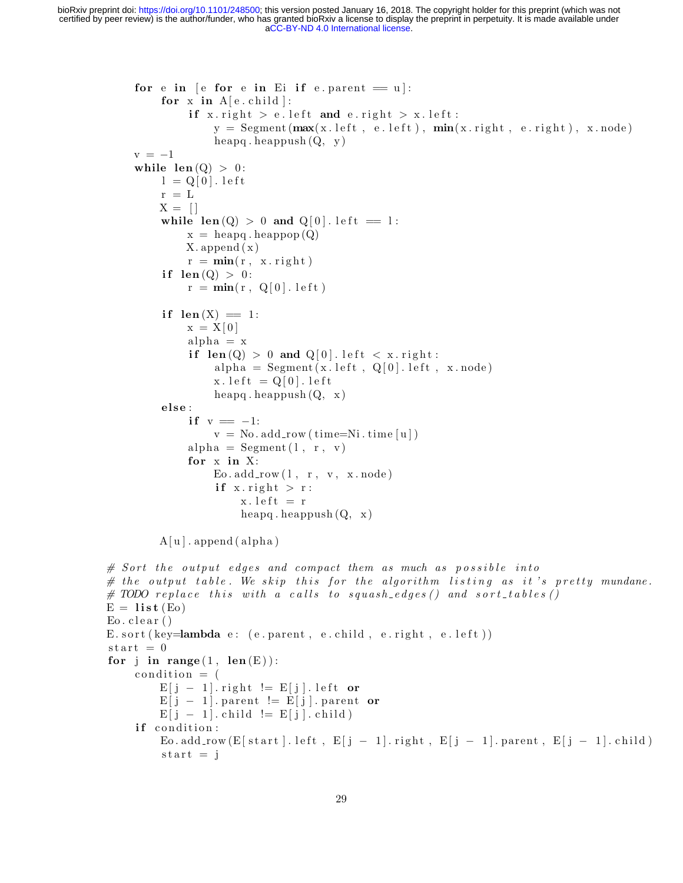```
for e in \lceil e for e in Ei if e . parent = u|:
         for x in A[e.cchild]:
              if x. right > e. left and e. right > x. left:
                  y = \text{Segment}(\text{max}(x.\text{left}, e.\text{left}), \text{min}(x.\text{right}, e.\text{right}), x.\text{node})heapq. heappush (Q, y)v = -1while len(Q) > 0:
         l = Q[0]. left
         r = LX = \Boxwhile len (Q) > 0 and Q[0]. left = 1:
              x = \text{heapq} \cdot \text{heappop}(Q)X. append (x)r = min(r, x. right)if len(Q) > 0:
              r = min(r, Q[0].let)if len(X) = 1:
             x = X[0]alpha = xif len(Q) > 0 and Q[0]. left \langle x.\text{right}:
                  alpha = Segment(x.left, Q[0].left, x-node)x. let t = Q[0]. letheapq. heappush (Q, x)else :
              if v = -1:
                  v = No. add_{row}(\text{time=Ni}.time[u])alpha = Segment(1, r, v)for x in X:
                  E_0.add(row(1, r, v, x-node))if x right > r:
                       x. let t = rheapq. heappush (Q, x)A[u]. append (alpha)
\# Sort the output edges and compact them as much as possible into
# the output table. We skip this for the algorithm listing as it's pretty mundane.
# TODO replace this with a calls to squash_edges() and sort_tables()
E = list (Eo)
E_0. clear ()E. sort (key = lambda e: (e. parent, e. child, e. right, e. left))
\text{start} = 0for j in range (1, len(E)):
    condition = (E[j - 1]. right != E[j]. left or
         E[j - 1]. parent != E[j]. parent or
         E[j - 1]. child I = E[j]. child)
    if condition:
         Eo. add_row (E[start ]. left, E[j − 1]. right, E[j − 1]. parent, E[j − 1]. child)
         start = j
```